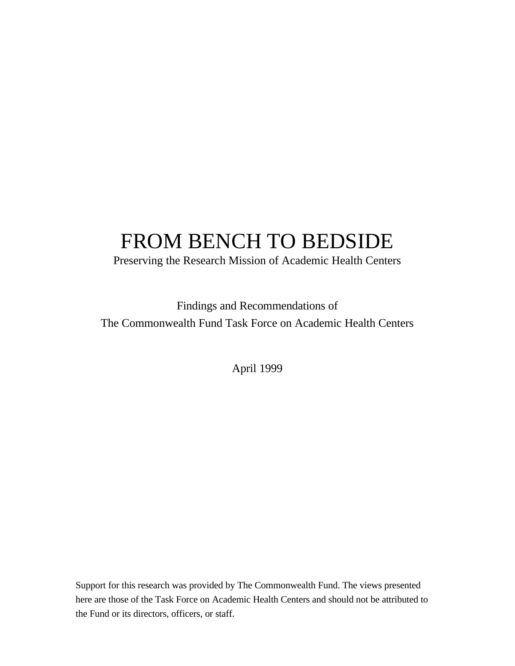# FROM BENCH TO BEDSIDE

Preserving the Research Mission of Academic Health Centers

Findings and Recommendations of The Commonwealth Fund Task Force on Academic Health Centers

April 1999

Support for this research was provided by The Commonwealth Fund. The views presented here are those of the Task Force on Academic Health Centers and should not be attributed to the Fund or its directors, officers, or staff.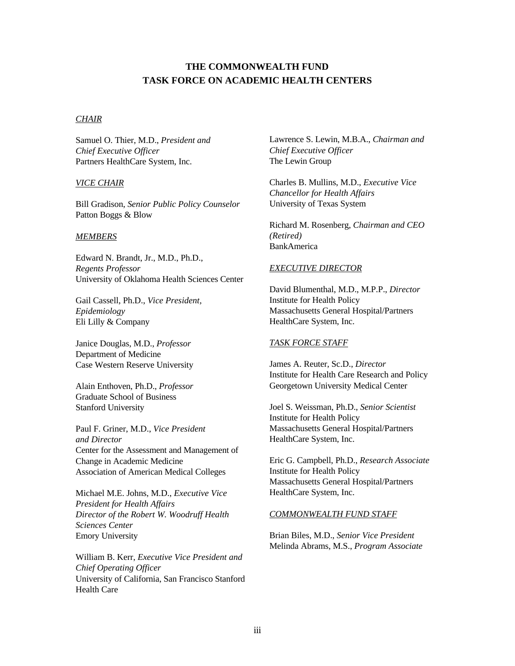### **THE COMMONWEALTH FUND TASK FORCE ON ACADEMIC HEALTH CENTERS**

#### *CHAIR*

Samuel O. Thier, M.D., *President and Chief Executive Officer* Partners HealthCare System, Inc.

### *VICE CHAIR*

Bill Gradison, *Senior Public Policy Counselor* Patton Boggs & Blow

#### *MEMBERS*

Edward N. Brandt, Jr., M.D., Ph.D., *Regents Professor* University of Oklahoma Health Sciences Center

Gail Cassell, Ph.D., *Vice President, Epidemiology* Eli Lilly & Company

Janice Douglas, M.D., *Professor* Department of Medicine Case Western Reserve University

Alain Enthoven, Ph.D., *Professor* Graduate School of Business Stanford University

Paul F. Griner, M.D., *Vice President and Director* Center for the Assessment and Management of Change in Academic Medicine Association of American Medical Colleges

Michael M.E. Johns, M.D., *Executive Vice President for Health Affairs Director of the Robert W. Woodruff Health Sciences Center* Emory University

William B. Kerr, *Executive Vice President and Chief Operating Officer* University of California, San Francisco Stanford Health Care

Lawrence S. Lewin, M.B.A., *Chairman and Chief Executive Officer* The Lewin Group

Charles B. Mullins, M.D., *Executive Vice Chancellor for Health Affairs* University of Texas System

Richard M. Rosenberg, *Chairman and CEO (Retired)* BankAmerica

#### *EXECUTIVE DIRECTOR*

David Blumenthal, M.D., M.P.P., *Director* Institute for Health Policy Massachusetts General Hospital/Partners HealthCare System, Inc.

#### *TASK FORCE STAFF*

James A. Reuter, Sc.D., *Director* Institute for Health Care Research and Policy Georgetown University Medical Center

Joel S. Weissman, Ph.D., *Senior Scientist* Institute for Health Policy Massachusetts General Hospital/Partners HealthCare System, Inc.

Eric G. Campbell, Ph.D., *Research Associate* Institute for Health Policy Massachusetts General Hospital/Partners HealthCare System, Inc.

#### *COMMONWEALTH FUND STAFF*

Brian Biles, M.D., *Senior Vice President* Melinda Abrams, M.S., *Program Associate*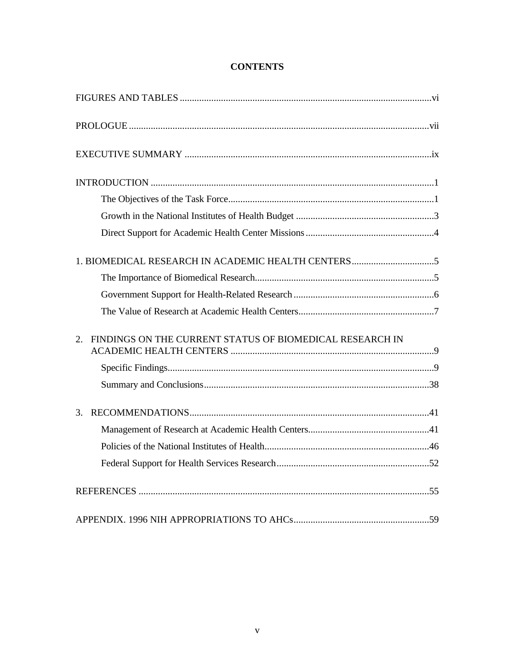| FINDINGS ON THE CURRENT STATUS OF BIOMEDICAL RESEARCH IN<br>2. |
|----------------------------------------------------------------|
|                                                                |
|                                                                |
| 3.                                                             |
|                                                                |
|                                                                |
|                                                                |
|                                                                |
|                                                                |

# **CONTENTS**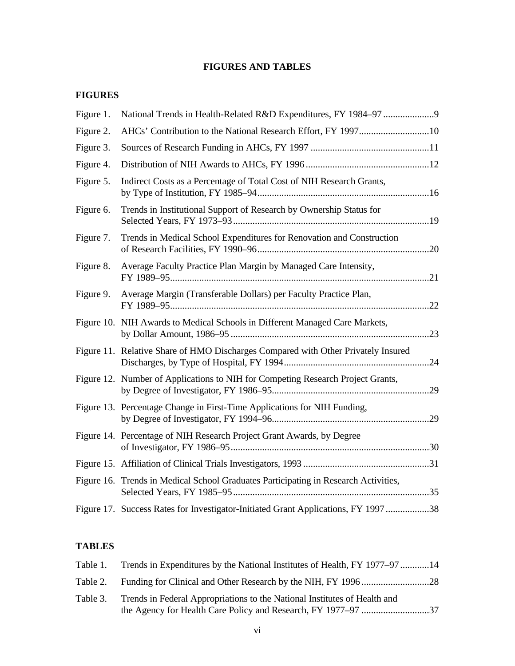# **FIGURES AND TABLES**

# **FIGURES**

| Figure 1. |                                                                                     |  |
|-----------|-------------------------------------------------------------------------------------|--|
| Figure 2. | AHCs' Contribution to the National Research Effort, FY 199710                       |  |
| Figure 3. |                                                                                     |  |
| Figure 4. |                                                                                     |  |
| Figure 5. | Indirect Costs as a Percentage of Total Cost of NIH Research Grants,                |  |
| Figure 6. | Trends in Institutional Support of Research by Ownership Status for                 |  |
| Figure 7. | Trends in Medical School Expenditures for Renovation and Construction               |  |
| Figure 8. | Average Faculty Practice Plan Margin by Managed Care Intensity,                     |  |
| Figure 9. | Average Margin (Transferable Dollars) per Faculty Practice Plan,                    |  |
|           | Figure 10. NIH Awards to Medical Schools in Different Managed Care Markets,         |  |
|           | Figure 11. Relative Share of HMO Discharges Compared with Other Privately Insured   |  |
|           | Figure 12. Number of Applications to NIH for Competing Research Project Grants,     |  |
|           | Figure 13. Percentage Change in First-Time Applications for NIH Funding,            |  |
|           | Figure 14. Percentage of NIH Research Project Grant Awards, by Degree               |  |
|           |                                                                                     |  |
|           | Figure 16. Trends in Medical School Graduates Participating in Research Activities, |  |
|           | Figure 17. Success Rates for Investigator-Initiated Grant Applications, FY 1997 38  |  |
|           |                                                                                     |  |

### **TABLES**

|          | Table 1. Trends in Expenditures by the National Institutes of Health, FY 1977–97 14 |  |
|----------|-------------------------------------------------------------------------------------|--|
|          |                                                                                     |  |
| Table 3. | Trends in Federal Appropriations to the National Institutes of Health and           |  |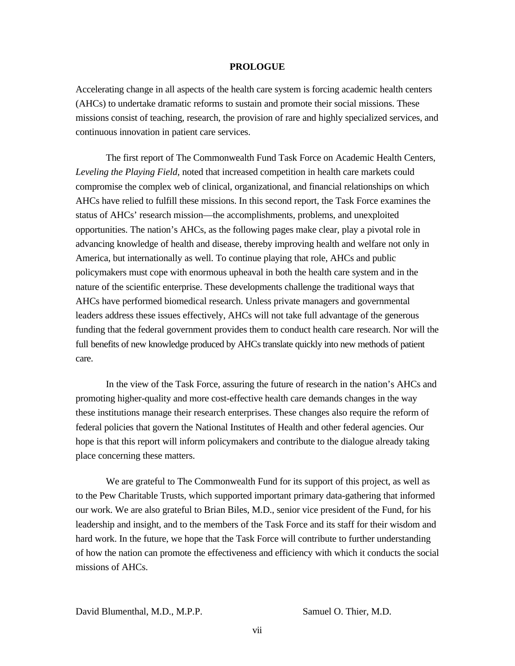#### **PROLOGUE**

Accelerating change in all aspects of the health care system is forcing academic health centers (AHCs) to undertake dramatic reforms to sustain and promote their social missions. These missions consist of teaching, research, the provision of rare and highly specialized services, and continuous innovation in patient care services.

The first report of The Commonwealth Fund Task Force on Academic Health Centers, *Leveling the Playing Field,* noted that increased competition in health care markets could compromise the complex web of clinical, organizational, and financial relationships on which AHCs have relied to fulfill these missions. In this second report, the Task Force examines the status of AHCs' research mission—the accomplishments, problems, and unexploited opportunities. The nation's AHCs, as the following pages make clear, play a pivotal role in advancing knowledge of health and disease, thereby improving health and welfare not only in America, but internationally as well. To continue playing that role, AHCs and public policymakers must cope with enormous upheaval in both the health care system and in the nature of the scientific enterprise. These developments challenge the traditional ways that AHCs have performed biomedical research. Unless private managers and governmental leaders address these issues effectively, AHCs will not take full advantage of the generous funding that the federal government provides them to conduct health care research. Nor will the full benefits of new knowledge produced by AHCs translate quickly into new methods of patient care.

In the view of the Task Force, assuring the future of research in the nation's AHCs and promoting higher-quality and more cost-effective health care demands changes in the way these institutions manage their research enterprises. These changes also require the reform of federal policies that govern the National Institutes of Health and other federal agencies. Our hope is that this report will inform policymakers and contribute to the dialogue already taking place concerning these matters.

We are grateful to The Commonwealth Fund for its support of this project, as well as to the Pew Charitable Trusts, which supported important primary data-gathering that informed our work. We are also grateful to Brian Biles, M.D., senior vice president of the Fund, for his leadership and insight, and to the members of the Task Force and its staff for their wisdom and hard work. In the future, we hope that the Task Force will contribute to further understanding of how the nation can promote the effectiveness and efficiency with which it conducts the social missions of AHCs.

David Blumenthal, M.D., M.P.P. Samuel O. Thier, M.D.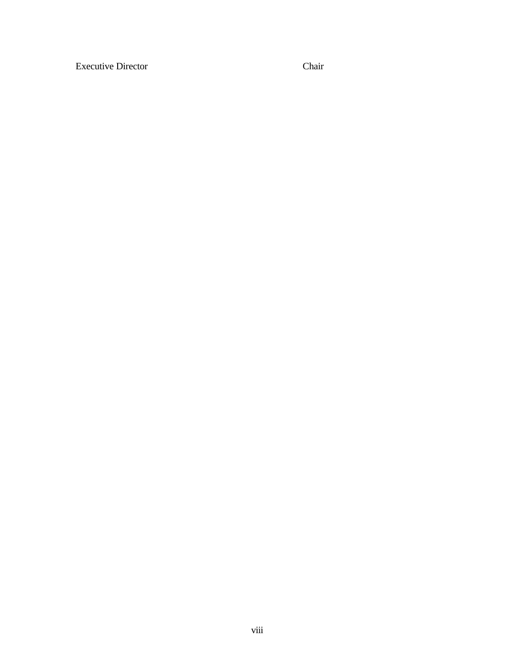Executive Director Chair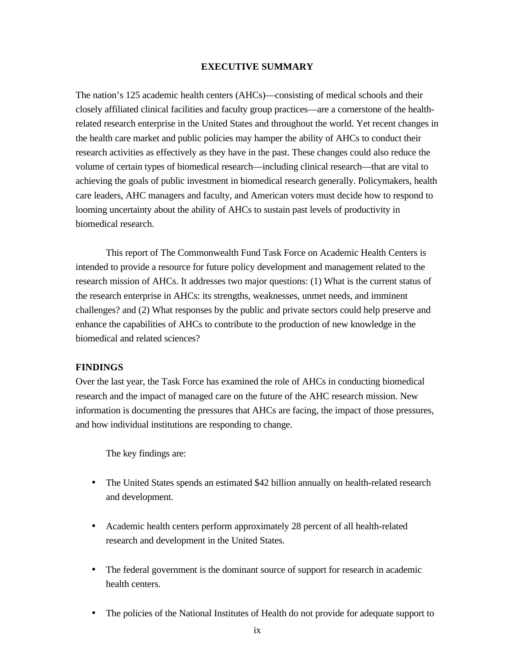#### **EXECUTIVE SUMMARY**

The nation's 125 academic health centers (AHCs)—consisting of medical schools and their closely affiliated clinical facilities and faculty group practices—are a cornerstone of the healthrelated research enterprise in the United States and throughout the world. Yet recent changes in the health care market and public policies may hamper the ability of AHCs to conduct their research activities as effectively as they have in the past. These changes could also reduce the volume of certain types of biomedical research—including clinical research—that are vital to achieving the goals of public investment in biomedical research generally. Policymakers, health care leaders, AHC managers and faculty, and American voters must decide how to respond to looming uncertainty about the ability of AHCs to sustain past levels of productivity in biomedical research.

This report of The Commonwealth Fund Task Force on Academic Health Centers is intended to provide a resource for future policy development and management related to the research mission of AHCs. It addresses two major questions: (1) What is the current status of the research enterprise in AHCs: its strengths, weaknesses, unmet needs, and imminent challenges? and (2) What responses by the public and private sectors could help preserve and enhance the capabilities of AHCs to contribute to the production of new knowledge in the biomedical and related sciences?

### **FINDINGS**

Over the last year, the Task Force has examined the role of AHCs in conducting biomedical research and the impact of managed care on the future of the AHC research mission. New information is documenting the pressures that AHCs are facing, the impact of those pressures, and how individual institutions are responding to change.

The key findings are:

- The United States spends an estimated \$42 billion annually on health-related research and development.
- Academic health centers perform approximately 28 percent of all health-related research and development in the United States.
- The federal government is the dominant source of support for research in academic health centers.
- The policies of the National Institutes of Health do not provide for adequate support to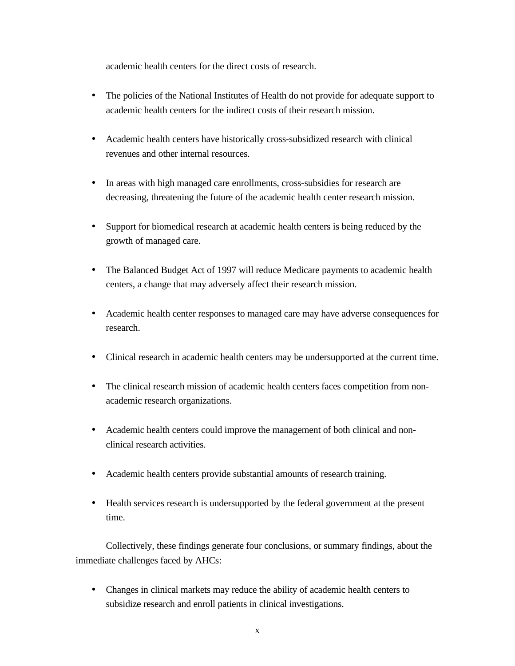academic health centers for the direct costs of research.

- The policies of the National Institutes of Health do not provide for adequate support to academic health centers for the indirect costs of their research mission.
- Academic health centers have historically cross-subsidized research with clinical revenues and other internal resources.
- In areas with high managed care enrollments, cross-subsidies for research are decreasing, threatening the future of the academic health center research mission.
- Support for biomedical research at academic health centers is being reduced by the growth of managed care.
- The Balanced Budget Act of 1997 will reduce Medicare payments to academic health centers, a change that may adversely affect their research mission.
- Academic health center responses to managed care may have adverse consequences for research.
- Clinical research in academic health centers may be undersupported at the current time.
- The clinical research mission of academic health centers faces competition from nonacademic research organizations.
- Academic health centers could improve the management of both clinical and nonclinical research activities.
- Academic health centers provide substantial amounts of research training.
- Health services research is undersupported by the federal government at the present time.

Collectively, these findings generate four conclusions, or summary findings, about the immediate challenges faced by AHCs:

• Changes in clinical markets may reduce the ability of academic health centers to subsidize research and enroll patients in clinical investigations.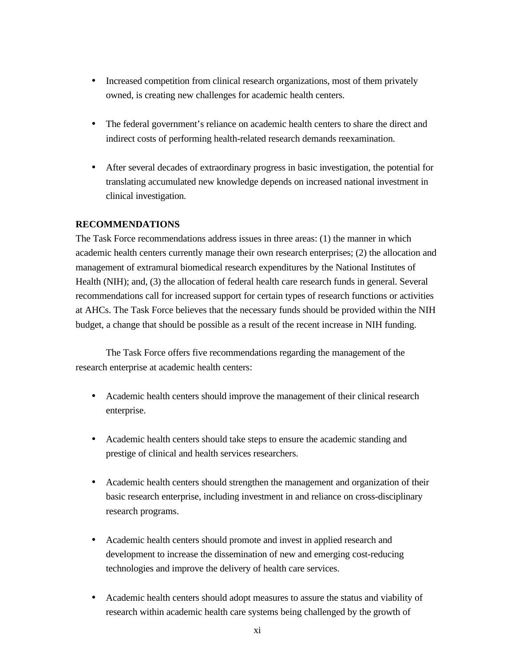- Increased competition from clinical research organizations, most of them privately owned, is creating new challenges for academic health centers.
- The federal government's reliance on academic health centers to share the direct and indirect costs of performing health-related research demands reexamination.
- After several decades of extraordinary progress in basic investigation, the potential for translating accumulated new knowledge depends on increased national investment in clinical investigation.

### **RECOMMENDATIONS**

The Task Force recommendations address issues in three areas: (1) the manner in which academic health centers currently manage their own research enterprises; (2) the allocation and management of extramural biomedical research expenditures by the National Institutes of Health (NIH); and, (3) the allocation of federal health care research funds in general. Several recommendations call for increased support for certain types of research functions or activities at AHCs. The Task Force believes that the necessary funds should be provided within the NIH budget, a change that should be possible as a result of the recent increase in NIH funding.

The Task Force offers five recommendations regarding the management of the research enterprise at academic health centers:

- Academic health centers should improve the management of their clinical research enterprise.
- Academic health centers should take steps to ensure the academic standing and prestige of clinical and health services researchers.
- Academic health centers should strengthen the management and organization of their basic research enterprise, including investment in and reliance on cross-disciplinary research programs.
- Academic health centers should promote and invest in applied research and development to increase the dissemination of new and emerging cost-reducing technologies and improve the delivery of health care services.
- Academic health centers should adopt measures to assure the status and viability of research within academic health care systems being challenged by the growth of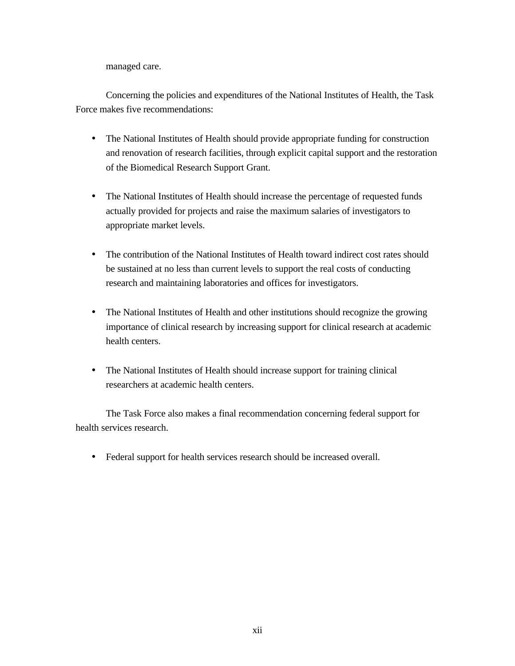managed care.

Concerning the policies and expenditures of the National Institutes of Health, the Task Force makes five recommendations:

- The National Institutes of Health should provide appropriate funding for construction and renovation of research facilities, through explicit capital support and the restoration of the Biomedical Research Support Grant.
- The National Institutes of Health should increase the percentage of requested funds actually provided for projects and raise the maximum salaries of investigators to appropriate market levels.
- The contribution of the National Institutes of Health toward indirect cost rates should be sustained at no less than current levels to support the real costs of conducting research and maintaining laboratories and offices for investigators.
- The National Institutes of Health and other institutions should recognize the growing importance of clinical research by increasing support for clinical research at academic health centers.
- The National Institutes of Health should increase support for training clinical researchers at academic health centers.

The Task Force also makes a final recommendation concerning federal support for health services research.

• Federal support for health services research should be increased overall.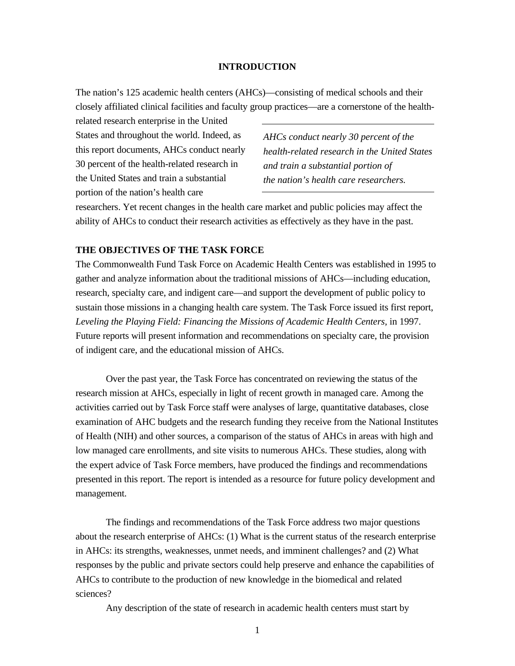#### **INTRODUCTION**

The nation's 125 academic health centers (AHCs)—consisting of medical schools and their closely affiliated clinical facilities and faculty group practices—are a cornerstone of the health-

related research enterprise in the United States and throughout the world. Indeed, as this report documents, AHCs conduct nearly 30 percent of the health-related research in the United States and train a substantial portion of the nation's health care

*AHCs conduct nearly 30 percent of the health-related research in the United States and train a substantial portion of the nation's health care researchers.*

researchers. Yet recent changes in the health care market and public policies may affect the ability of AHCs to conduct their research activities as effectively as they have in the past.

### **THE OBJECTIVES OF THE TASK FORCE**

The Commonwealth Fund Task Force on Academic Health Centers was established in 1995 to gather and analyze information about the traditional missions of AHCs—including education, research, specialty care, and indigent care—and support the development of public policy to sustain those missions in a changing health care system. The Task Force issued its first report, *Leveling the Playing Field: Financing the Missions of Academic Health Centers,* in 1997. Future reports will present information and recommendations on specialty care, the provision of indigent care, and the educational mission of AHCs.

Over the past year, the Task Force has concentrated on reviewing the status of the research mission at AHCs, especially in light of recent growth in managed care. Among the activities carried out by Task Force staff were analyses of large, quantitative databases, close examination of AHC budgets and the research funding they receive from the National Institutes of Health (NIH) and other sources, a comparison of the status of AHCs in areas with high and low managed care enrollments, and site visits to numerous AHCs. These studies, along with the expert advice of Task Force members, have produced the findings and recommendations presented in this report. The report is intended as a resource for future policy development and management.

The findings and recommendations of the Task Force address two major questions about the research enterprise of AHCs: (1) What is the current status of the research enterprise in AHCs: its strengths, weaknesses, unmet needs, and imminent challenges? and (2) What responses by the public and private sectors could help preserve and enhance the capabilities of AHCs to contribute to the production of new knowledge in the biomedical and related sciences?

Any description of the state of research in academic health centers must start by

1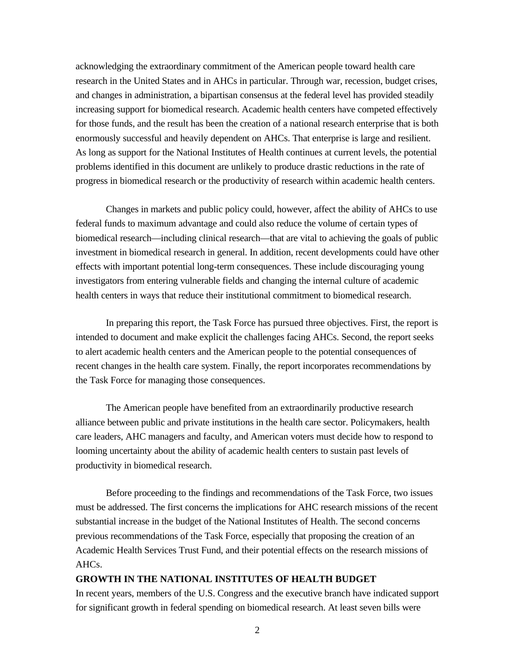acknowledging the extraordinary commitment of the American people toward health care research in the United States and in AHCs in particular. Through war, recession, budget crises, and changes in administration, a bipartisan consensus at the federal level has provided steadily increasing support for biomedical research. Academic health centers have competed effectively for those funds, and the result has been the creation of a national research enterprise that is both enormously successful and heavily dependent on AHCs. That enterprise is large and resilient. As long as support for the National Institutes of Health continues at current levels, the potential problems identified in this document are unlikely to produce drastic reductions in the rate of progress in biomedical research or the productivity of research within academic health centers.

Changes in markets and public policy could, however, affect the ability of AHCs to use federal funds to maximum advantage and could also reduce the volume of certain types of biomedical research—including clinical research—that are vital to achieving the goals of public investment in biomedical research in general. In addition, recent developments could have other effects with important potential long-term consequences. These include discouraging young investigators from entering vulnerable fields and changing the internal culture of academic health centers in ways that reduce their institutional commitment to biomedical research.

In preparing this report, the Task Force has pursued three objectives. First, the report is intended to document and make explicit the challenges facing AHCs. Second, the report seeks to alert academic health centers and the American people to the potential consequences of recent changes in the health care system. Finally, the report incorporates recommendations by the Task Force for managing those consequences.

The American people have benefited from an extraordinarily productive research alliance between public and private institutions in the health care sector. Policymakers, health care leaders, AHC managers and faculty, and American voters must decide how to respond to looming uncertainty about the ability of academic health centers to sustain past levels of productivity in biomedical research.

Before proceeding to the findings and recommendations of the Task Force, two issues must be addressed. The first concerns the implications for AHC research missions of the recent substantial increase in the budget of the National Institutes of Health. The second concerns previous recommendations of the Task Force, especially that proposing the creation of an Academic Health Services Trust Fund, and their potential effects on the research missions of AHCs.

#### **GROWTH IN THE NATIONAL INSTITUTES OF HEALTH BUDGET**

In recent years, members of the U.S. Congress and the executive branch have indicated support for significant growth in federal spending on biomedical research. At least seven bills were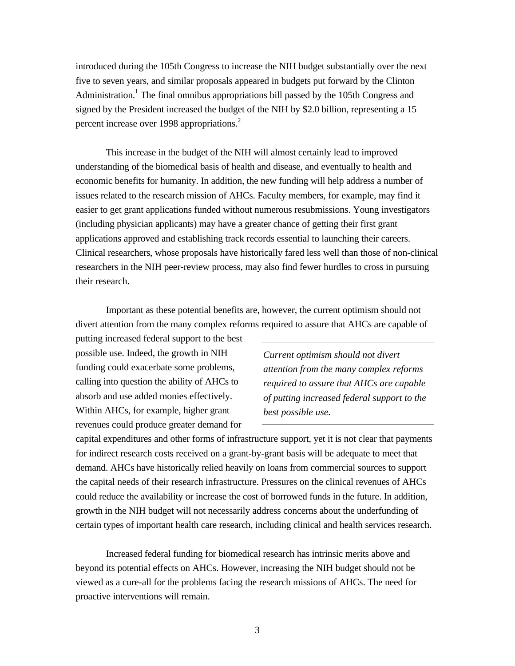introduced during the 105th Congress to increase the NIH budget substantially over the next five to seven years, and similar proposals appeared in budgets put forward by the Clinton Administration.<sup>1</sup> The final omnibus appropriations bill passed by the 105th Congress and signed by the President increased the budget of the NIH by \$2.0 billion, representing a 15 percent increase over 1998 appropriations.<sup>2</sup>

This increase in the budget of the NIH will almost certainly lead to improved understanding of the biomedical basis of health and disease, and eventually to health and economic benefits for humanity. In addition, the new funding will help address a number of issues related to the research mission of AHCs. Faculty members, for example, may find it easier to get grant applications funded without numerous resubmissions. Young investigators (including physician applicants) may have a greater chance of getting their first grant applications approved and establishing track records essential to launching their careers. Clinical researchers, whose proposals have historically fared less well than those of non-clinical researchers in the NIH peer-review process, may also find fewer hurdles to cross in pursuing their research.

Important as these potential benefits are, however, the current optimism should not divert attention from the many complex reforms required to assure that AHCs are capable of

putting increased federal support to the best possible use. Indeed, the growth in NIH funding could exacerbate some problems, calling into question the ability of AHCs to absorb and use added monies effectively. Within AHCs, for example, higher grant revenues could produce greater demand for

*Current optimism should not divert attention from the many complex reforms required to assure that AHCs are capable of putting increased federal support to the best possible use.*

capital expenditures and other forms of infrastructure support, yet it is not clear that payments for indirect research costs received on a grant-by-grant basis will be adequate to meet that demand. AHCs have historically relied heavily on loans from commercial sources to support the capital needs of their research infrastructure. Pressures on the clinical revenues of AHCs could reduce the availability or increase the cost of borrowed funds in the future. In addition, growth in the NIH budget will not necessarily address concerns about the underfunding of certain types of important health care research, including clinical and health services research.

Increased federal funding for biomedical research has intrinsic merits above and beyond its potential effects on AHCs. However, increasing the NIH budget should not be viewed as a cure-all for the problems facing the research missions of AHCs. The need for proactive interventions will remain.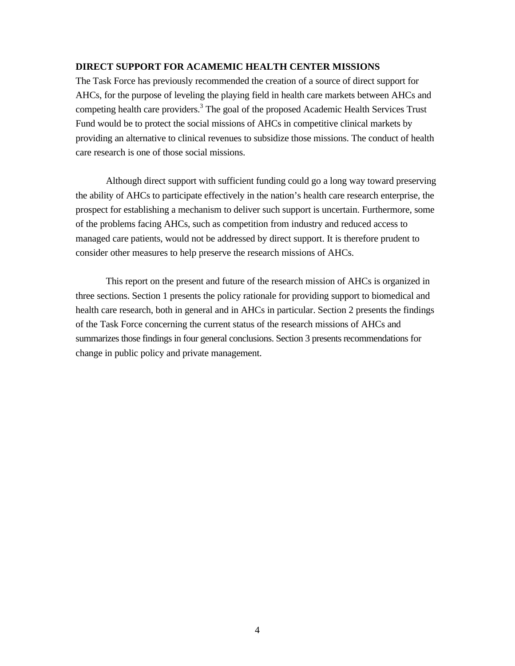### **DIRECT SUPPORT FOR ACAMEMIC HEALTH CENTER MISSIONS**

The Task Force has previously recommended the creation of a source of direct support for AHCs, for the purpose of leveling the playing field in health care markets between AHCs and competing health care providers.<sup>3</sup> The goal of the proposed Academic Health Services Trust Fund would be to protect the social missions of AHCs in competitive clinical markets by providing an alternative to clinical revenues to subsidize those missions. The conduct of health care research is one of those social missions.

Although direct support with sufficient funding could go a long way toward preserving the ability of AHCs to participate effectively in the nation's health care research enterprise, the prospect for establishing a mechanism to deliver such support is uncertain. Furthermore, some of the problems facing AHCs, such as competition from industry and reduced access to managed care patients, would not be addressed by direct support. It is therefore prudent to consider other measures to help preserve the research missions of AHCs.

This report on the present and future of the research mission of AHCs is organized in three sections. Section 1 presents the policy rationale for providing support to biomedical and health care research, both in general and in AHCs in particular. Section 2 presents the findings of the Task Force concerning the current status of the research missions of AHCs and summarizes those findings in four general conclusions. Section 3 presents recommendations for change in public policy and private management.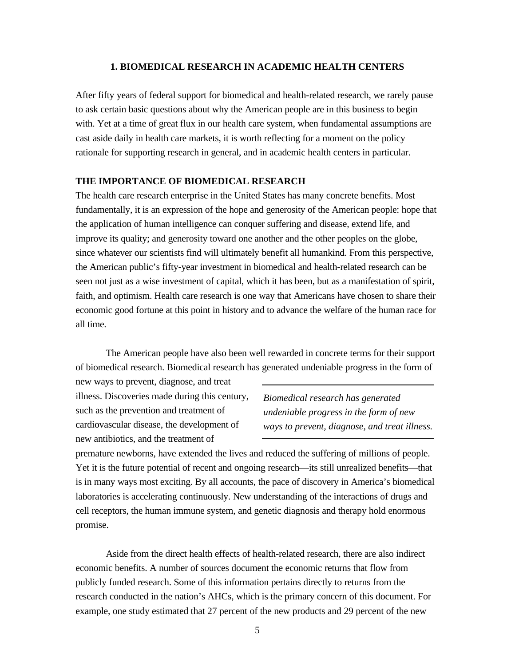#### **1. BIOMEDICAL RESEARCH IN ACADEMIC HEALTH CENTERS**

After fifty years of federal support for biomedical and health-related research, we rarely pause to ask certain basic questions about why the American people are in this business to begin with. Yet at a time of great flux in our health care system, when fundamental assumptions are cast aside daily in health care markets, it is worth reflecting for a moment on the policy rationale for supporting research in general, and in academic health centers in particular.

### **THE IMPORTANCE OF BIOMEDICAL RESEARCH**

The health care research enterprise in the United States has many concrete benefits. Most fundamentally, it is an expression of the hope and generosity of the American people: hope that the application of human intelligence can conquer suffering and disease, extend life, and improve its quality; and generosity toward one another and the other peoples on the globe, since whatever our scientists find will ultimately benefit all humankind. From this perspective, the American public's fifty-year investment in biomedical and health-related research can be seen not just as a wise investment of capital, which it has been, but as a manifestation of spirit, faith, and optimism. Health care research is one way that Americans have chosen to share their economic good fortune at this point in history and to advance the welfare of the human race for all time.

The American people have also been well rewarded in concrete terms for their support of biomedical research. Biomedical research has generated undeniable progress in the form of

new ways to prevent, diagnose, and treat illness. Discoveries made during this century, such as the prevention and treatment of cardiovascular disease, the development of new antibiotics, and the treatment of

*Biomedical research has generated undeniable progress in the form of new ways to prevent, diagnose, and treat illness.*

premature newborns, have extended the lives and reduced the suffering of millions of people. Yet it is the future potential of recent and ongoing research—its still unrealized benefits—that is in many ways most exciting. By all accounts, the pace of discovery in America's biomedical laboratories is accelerating continuously. New understanding of the interactions of drugs and cell receptors, the human immune system, and genetic diagnosis and therapy hold enormous promise.

Aside from the direct health effects of health-related research, there are also indirect economic benefits. A number of sources document the economic returns that flow from publicly funded research. Some of this information pertains directly to returns from the research conducted in the nation's AHCs, which is the primary concern of this document. For example, one study estimated that 27 percent of the new products and 29 percent of the new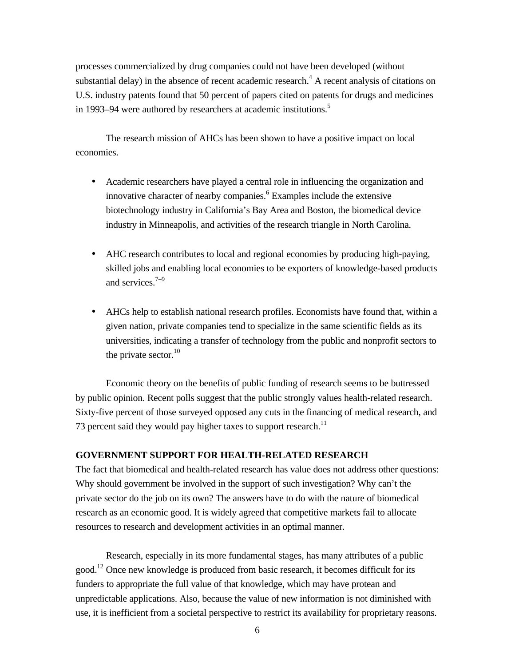processes commercialized by drug companies could not have been developed (without substantial delay) in the absence of recent academic research.<sup>4</sup> A recent analysis of citations on U.S. industry patents found that 50 percent of papers cited on patents for drugs and medicines in 1993–94 were authored by researchers at academic institutions.<sup>5</sup>

The research mission of AHCs has been shown to have a positive impact on local economies.

- Academic researchers have played a central role in influencing the organization and innovative character of nearby companies.<sup>6</sup> Examples include the extensive biotechnology industry in California's Bay Area and Boston, the biomedical device industry in Minneapolis, and activities of the research triangle in North Carolina.
- AHC research contributes to local and regional economies by producing high-paying, skilled jobs and enabling local economies to be exporters of knowledge-based products and services. $7-9$
- AHCs help to establish national research profiles. Economists have found that, within a given nation, private companies tend to specialize in the same scientific fields as its universities, indicating a transfer of technology from the public and nonprofit sectors to the private sector. $10$

Economic theory on the benefits of public funding of research seems to be buttressed by public opinion. Recent polls suggest that the public strongly values health-related research. Sixty-five percent of those surveyed opposed any cuts in the financing of medical research, and 73 percent said they would pay higher taxes to support research.<sup>11</sup>

### **GOVERNMENT SUPPORT FOR HEALTH-RELATED RESEARCH**

The fact that biomedical and health-related research has value does not address other questions: Why should government be involved in the support of such investigation? Why can't the private sector do the job on its own? The answers have to do with the nature of biomedical research as an economic good. It is widely agreed that competitive markets fail to allocate resources to research and development activities in an optimal manner.

Research, especially in its more fundamental stages, has many attributes of a public good.<sup>12</sup> Once new knowledge is produced from basic research, it becomes difficult for its funders to appropriate the full value of that knowledge, which may have protean and unpredictable applications. Also, because the value of new information is not diminished with use, it is inefficient from a societal perspective to restrict its availability for proprietary reasons.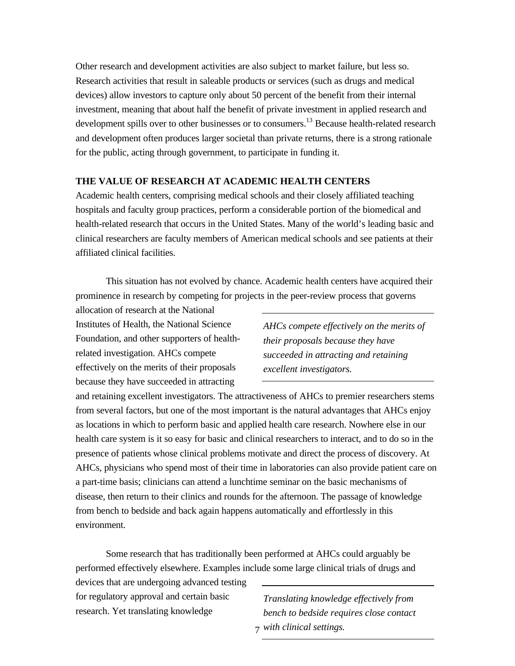Other research and development activities are also subject to market failure, but less so. Research activities that result in saleable products or services (such as drugs and medical devices) allow investors to capture only about 50 percent of the benefit from their internal investment, meaning that about half the benefit of private investment in applied research and development spills over to other businesses or to consumers.<sup>13</sup> Because health-related research and development often produces larger societal than private returns, there is a strong rationale for the public, acting through government, to participate in funding it.

### **THE VALUE OF RESEARCH AT ACADEMIC HEALTH CENTERS**

Academic health centers, comprising medical schools and their closely affiliated teaching hospitals and faculty group practices, perform a considerable portion of the biomedical and health-related research that occurs in the United States. Many of the world's leading basic and clinical researchers are faculty members of American medical schools and see patients at their affiliated clinical facilities.

This situation has not evolved by chance. Academic health centers have acquired their prominence in research by competing for projects in the peer-review process that governs

allocation of research at the National Institutes of Health, the National Science Foundation, and other supporters of healthrelated investigation. AHCs compete effectively on the merits of their proposals because they have succeeded in attracting

*AHCs compete effectively on the merits of their proposals because they have succeeded in attracting and retaining excellent investigators.*

and retaining excellent investigators. The attractiveness of AHCs to premier researchers stems from several factors, but one of the most important is the natural advantages that AHCs enjoy as locations in which to perform basic and applied health care research. Nowhere else in our health care system is it so easy for basic and clinical researchers to interact, and to do so in the presence of patients whose clinical problems motivate and direct the process of discovery. At AHCs, physicians who spend most of their time in laboratories can also provide patient care on a part-time basis; clinicians can attend a lunchtime seminar on the basic mechanisms of disease, then return to their clinics and rounds for the afternoon. The passage of knowledge from bench to bedside and back again happens automatically and effortlessly in this environment.

Some research that has traditionally been performed at AHCs could arguably be performed effectively elsewhere. Examples include some large clinical trials of drugs and

devices that are undergoing advanced testing for regulatory approval and certain basic research. Yet translating knowledge

7 *with clinical settings.Translating knowledge effectively from bench to bedside requires close contact*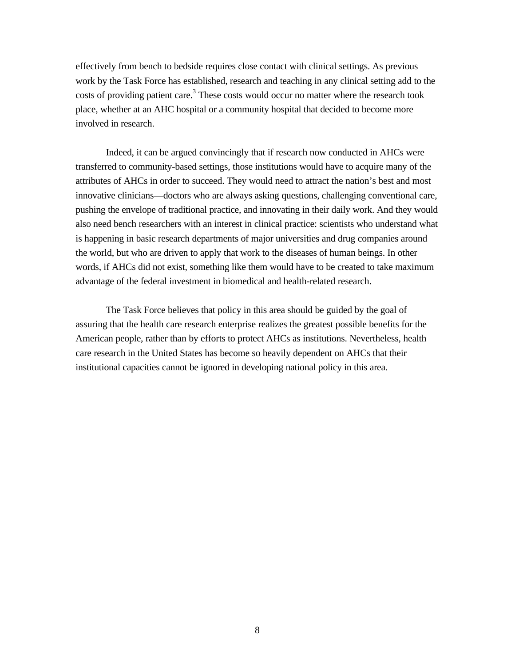effectively from bench to bedside requires close contact with clinical settings. As previous work by the Task Force has established, research and teaching in any clinical setting add to the costs of providing patient care.<sup>3</sup> These costs would occur no matter where the research took place, whether at an AHC hospital or a community hospital that decided to become more involved in research.

Indeed, it can be argued convincingly that if research now conducted in AHCs were transferred to community-based settings, those institutions would have to acquire many of the attributes of AHCs in order to succeed. They would need to attract the nation's best and most innovative clinicians—doctors who are always asking questions, challenging conventional care, pushing the envelope of traditional practice, and innovating in their daily work. And they would also need bench researchers with an interest in clinical practice: scientists who understand what is happening in basic research departments of major universities and drug companies around the world, but who are driven to apply that work to the diseases of human beings. In other words, if AHCs did not exist, something like them would have to be created to take maximum advantage of the federal investment in biomedical and health-related research.

The Task Force believes that policy in this area should be guided by the goal of assuring that the health care research enterprise realizes the greatest possible benefits for the American people, rather than by efforts to protect AHCs as institutions. Nevertheless, health care research in the United States has become so heavily dependent on AHCs that their institutional capacities cannot be ignored in developing national policy in this area.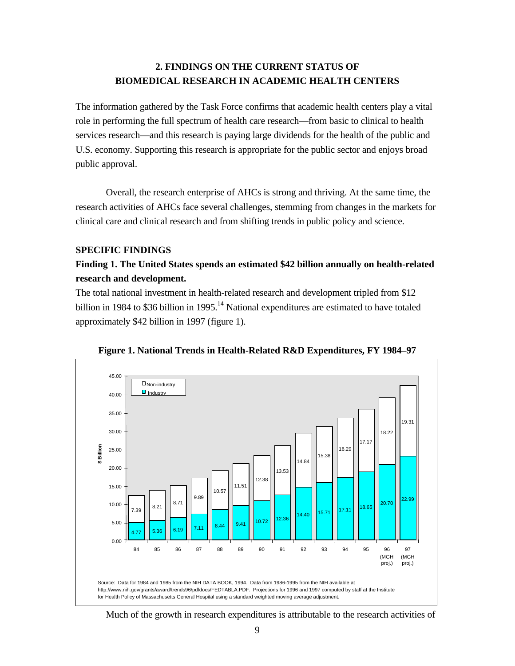# **2. FINDINGS ON THE CURRENT STATUS OF BIOMEDICAL RESEARCH IN ACADEMIC HEALTH CENTERS**

The information gathered by the Task Force confirms that academic health centers play a vital role in performing the full spectrum of health care research—from basic to clinical to health services research—and this research is paying large dividends for the health of the public and U.S. economy. Supporting this research is appropriate for the public sector and enjoys broad public approval.

Overall, the research enterprise of AHCs is strong and thriving. At the same time, the research activities of AHCs face several challenges, stemming from changes in the markets for clinical care and clinical research and from shifting trends in public policy and science.

### **SPECIFIC FINDINGS**

### **Finding 1. The United States spends an estimated \$42 billion annually on health-related research and development.**

The total national investment in health-related research and development tripled from \$12 billion in 1984 to \$36 billion in 1995.<sup>14</sup> National expenditures are estimated to have totaled approximately \$42 billion in 1997 (figure 1).



**Figure 1. National Trends in Health-Related R&D Expenditures, FY 1984–97**

Much of the growth in research expenditures is attributable to the research activities of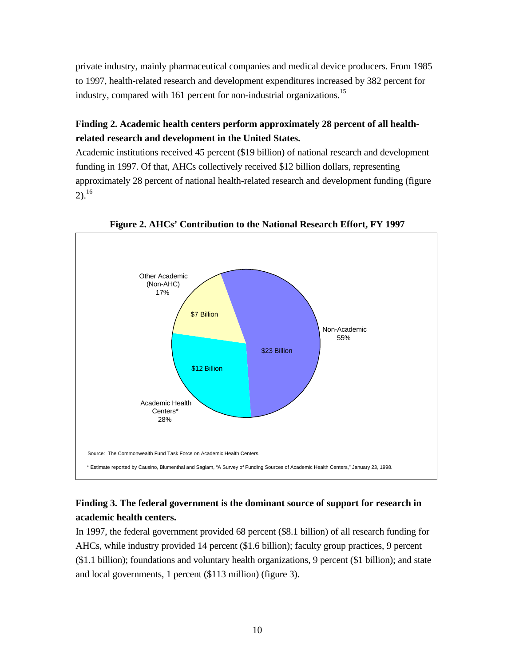private industry, mainly pharmaceutical companies and medical device producers. From 1985 to 1997, health-related research and development expenditures increased by 382 percent for industry, compared with 161 percent for non-industrial organizations.<sup>15</sup>

# **Finding 2. Academic health centers perform approximately 28 percent of all healthrelated research and development in the United States.**

Academic institutions received 45 percent (\$19 billion) of national research and development funding in 1997. Of that, AHCs collectively received \$12 billion dollars, representing approximately 28 percent of national health-related research and development funding (figure  $2)$ <sup>16</sup>



**Figure 2. AHCs' Contribution to the National Research Effort, FY 1997**

# **Finding 3. The federal government is the dominant source of support for research in academic health centers.**

In 1997, the federal government provided 68 percent (\$8.1 billion) of all research funding for AHCs, while industry provided 14 percent (\$1.6 billion); faculty group practices, 9 percent (\$1.1 billion); foundations and voluntary health organizations, 9 percent (\$1 billion); and state and local governments, 1 percent (\$113 million) (figure 3).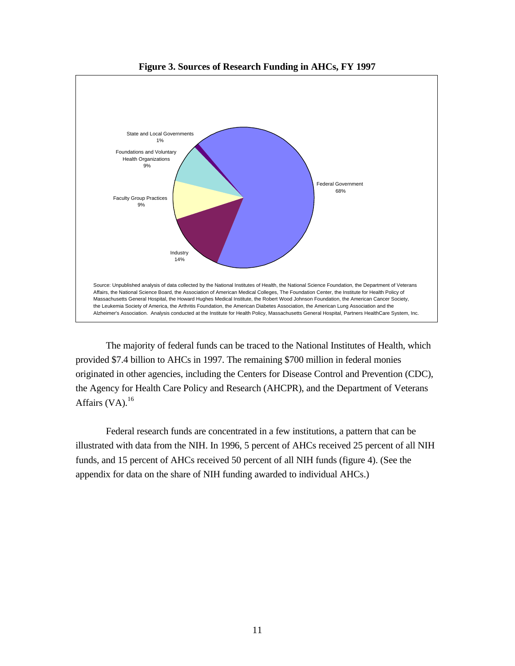

**Figure 3. Sources of Research Funding in AHCs, FY 1997**

The majority of federal funds can be traced to the National Institutes of Health, which provided \$7.4 billion to AHCs in 1997. The remaining \$700 million in federal monies originated in other agencies, including the Centers for Disease Control and Prevention (CDC), the Agency for Health Care Policy and Research (AHCPR), and the Department of Veterans Affairs  $(VA)$ .<sup>16</sup>

Federal research funds are concentrated in a few institutions, a pattern that can be illustrated with data from the NIH. In 1996, 5 percent of AHCs received 25 percent of all NIH funds, and 15 percent of AHCs received 50 percent of all NIH funds (figure 4). (See the appendix for data on the share of NIH funding awarded to individual AHCs.)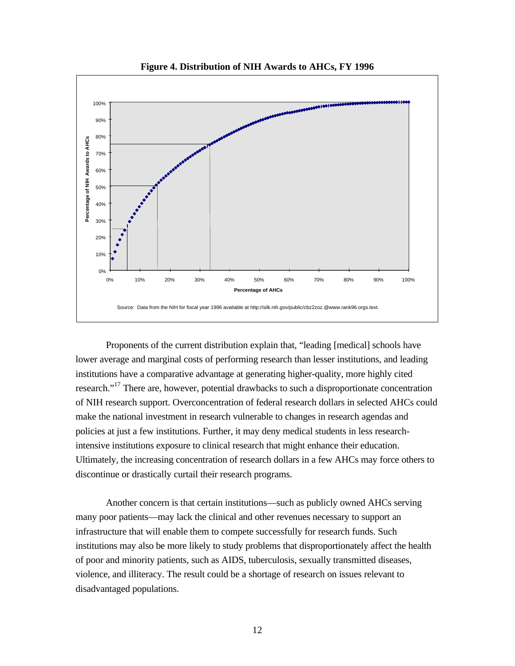

**Figure 4. Distribution of NIH Awards to AHCs, FY 1996**

Proponents of the current distribution explain that, "leading [medical] schools have lower average and marginal costs of performing research than lesser institutions, and leading institutions have a comparative advantage at generating higher-quality, more highly cited research."<sup>17</sup> There are, however, potential drawbacks to such a disproportionate concentration of NIH research support. Overconcentration of federal research dollars in selected AHCs could make the national investment in research vulnerable to changes in research agendas and policies at just a few institutions. Further, it may deny medical students in less researchintensive institutions exposure to clinical research that might enhance their education. Ultimately, the increasing concentration of research dollars in a few AHCs may force others to discontinue or drastically curtail their research programs.

Another concern is that certain institutions—such as publicly owned AHCs serving many poor patients—may lack the clinical and other revenues necessary to support an infrastructure that will enable them to compete successfully for research funds. Such institutions may also be more likely to study problems that disproportionately affect the health of poor and minority patients, such as AIDS, tuberculosis, sexually transmitted diseases, violence, and illiteracy. The result could be a shortage of research on issues relevant to disadvantaged populations.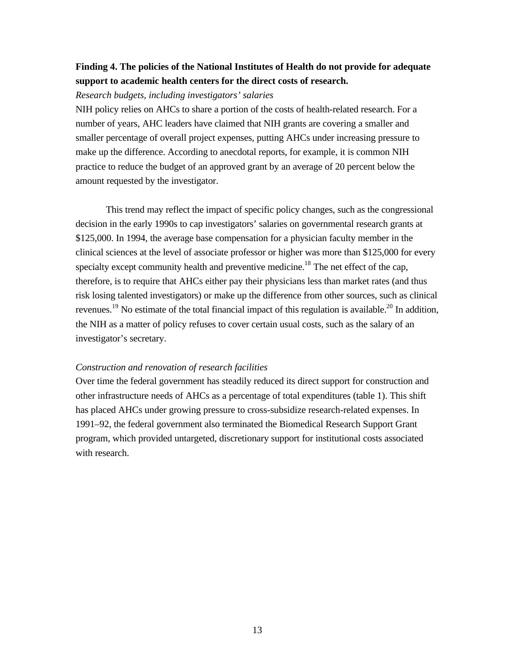### **Finding 4. The policies of the National Institutes of Health do not provide for adequate support to academic health centers for the direct costs of research.**

### *Research budgets, including investigators' salaries*

NIH policy relies on AHCs to share a portion of the costs of health-related research. For a number of years, AHC leaders have claimed that NIH grants are covering a smaller and smaller percentage of overall project expenses, putting AHCs under increasing pressure to make up the difference. According to anecdotal reports, for example, it is common NIH practice to reduce the budget of an approved grant by an average of 20 percent below the amount requested by the investigator.

This trend may reflect the impact of specific policy changes, such as the congressional decision in the early 1990s to cap investigators' salaries on governmental research grants at \$125,000. In 1994, the average base compensation for a physician faculty member in the clinical sciences at the level of associate professor or higher was more than \$125,000 for every specialty except community health and preventive medicine.<sup>18</sup> The net effect of the cap, therefore, is to require that AHCs either pay their physicians less than market rates (and thus risk losing talented investigators) or make up the difference from other sources, such as clinical revenues.<sup>19</sup> No estimate of the total financial impact of this regulation is available.<sup>20</sup> In addition, the NIH as a matter of policy refuses to cover certain usual costs, such as the salary of an investigator's secretary.

### *Construction and renovation of research facilities*

Over time the federal government has steadily reduced its direct support for construction and other infrastructure needs of AHCs as a percentage of total expenditures (table 1). This shift has placed AHCs under growing pressure to cross-subsidize research-related expenses. In 1991–92, the federal government also terminated the Biomedical Research Support Grant program, which provided untargeted, discretionary support for institutional costs associated with research.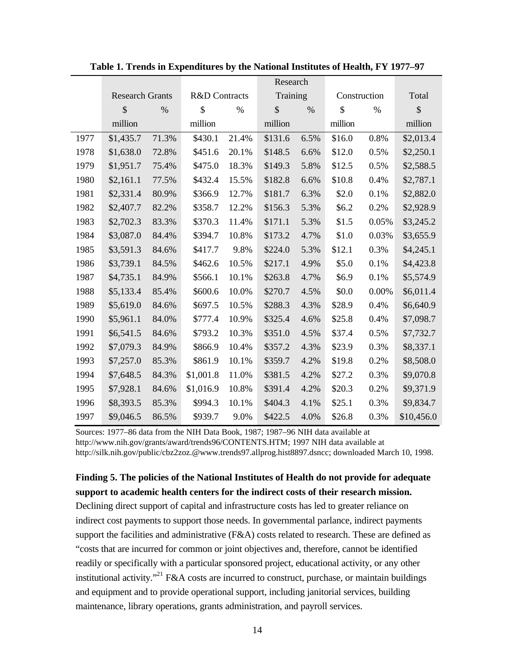|      |                        |       |                          |       | Research      |      |               |       |               |
|------|------------------------|-------|--------------------------|-------|---------------|------|---------------|-------|---------------|
|      | <b>Research Grants</b> |       | <b>R&amp;D</b> Contracts |       | Training      |      | Construction  |       | Total         |
|      | $\mathcal{S}$          | %     | $\mathcal{S}$            | %     | $\mathcal{S}$ | $\%$ | $\mathcal{S}$ | $\%$  | $\mathcal{S}$ |
|      | million                |       | million                  |       | million       |      | million       |       | million       |
| 1977 | \$1,435.7              | 71.3% | \$430.1                  | 21.4% | \$131.6       | 6.5% | \$16.0        | 0.8%  | \$2,013.4     |
| 1978 | \$1,638.0              | 72.8% | \$451.6                  | 20.1% | \$148.5       | 6.6% | \$12.0        | 0.5%  | \$2,250.1     |
| 1979 | \$1,951.7              | 75.4% | \$475.0                  | 18.3% | \$149.3       | 5.8% | \$12.5        | 0.5%  | \$2,588.5     |
| 1980 | \$2,161.1              | 77.5% | \$432.4                  | 15.5% | \$182.8       | 6.6% | \$10.8        | 0.4%  | \$2,787.1     |
| 1981 | \$2,331.4              | 80.9% | \$366.9                  | 12.7% | \$181.7       | 6.3% | \$2.0         | 0.1%  | \$2,882.0     |
| 1982 | \$2,407.7              | 82.2% | \$358.7                  | 12.2% | \$156.3       | 5.3% | \$6.2         | 0.2%  | \$2,928.9     |
| 1983 | \$2,702.3              | 83.3% | \$370.3                  | 11.4% | \$171.1       | 5.3% | \$1.5         | 0.05% | \$3,245.2     |
| 1984 | \$3,087.0              | 84.4% | \$394.7                  | 10.8% | \$173.2       | 4.7% | \$1.0         | 0.03% | \$3,655.9     |
| 1985 | \$3,591.3              | 84.6% | \$417.7                  | 9.8%  | \$224.0       | 5.3% | \$12.1        | 0.3%  | \$4,245.1     |
| 1986 | \$3,739.1              | 84.5% | \$462.6                  | 10.5% | \$217.1       | 4.9% | \$5.0         | 0.1%  | \$4,423.8     |
| 1987 | \$4,735.1              | 84.9% | \$566.1                  | 10.1% | \$263.8       | 4.7% | \$6.9         | 0.1%  | \$5,574.9     |
| 1988 | \$5,133.4              | 85.4% | \$600.6                  | 10.0% | \$270.7       | 4.5% | \$0.0         | 0.00% | \$6,011.4     |
| 1989 | \$5,619.0              | 84.6% | \$697.5                  | 10.5% | \$288.3       | 4.3% | \$28.9        | 0.4%  | \$6,640.9     |
| 1990 | \$5,961.1              | 84.0% | \$777.4                  | 10.9% | \$325.4       | 4.6% | \$25.8        | 0.4%  | \$7,098.7     |
| 1991 | \$6,541.5              | 84.6% | \$793.2                  | 10.3% | \$351.0       | 4.5% | \$37.4        | 0.5%  | \$7,732.7     |
| 1992 | \$7,079.3              | 84.9% | \$866.9                  | 10.4% | \$357.2       | 4.3% | \$23.9        | 0.3%  | \$8,337.1     |
| 1993 | \$7,257.0              | 85.3% | \$861.9                  | 10.1% | \$359.7       | 4.2% | \$19.8        | 0.2%  | \$8,508.0     |
| 1994 | \$7,648.5              | 84.3% | \$1,001.8                | 11.0% | \$381.5       | 4.2% | \$27.2        | 0.3%  | \$9,070.8     |
| 1995 | \$7,928.1              | 84.6% | \$1,016.9                | 10.8% | \$391.4       | 4.2% | \$20.3        | 0.2%  | \$9,371.9     |
| 1996 | \$8,393.5              | 85.3% | \$994.3                  | 10.1% | \$404.3       | 4.1% | \$25.1        | 0.3%  | \$9,834.7     |
| 1997 | \$9,046.5              | 86.5% | \$939.7                  | 9.0%  | \$422.5       | 4.0% | \$26.8        | 0.3%  | \$10,456.0    |

**Table 1. Trends in Expenditures by the National Institutes of Health, FY 1977–97**

Sources: 1977–86 data from the NIH Data Book, 1987; 1987–96 NIH data available at http://www.nih.gov/grants/award/trends96/CONTENTS.HTM; 1997 NIH data available at http://silk.nih.gov/public/cbz2zoz.@www.trends97.allprog.hist8897.dsncc; downloaded March 10, 1998.

**Finding 5. The policies of the National Institutes of Health do not provide for adequate support to academic health centers for the indirect costs of their research mission.**

Declining direct support of capital and infrastructure costs has led to greater reliance on indirect cost payments to support those needs. In governmental parlance, indirect payments support the facilities and administrative  $(F&A)$  costs related to research. These are defined as "costs that are incurred for common or joint objectives and, therefore, cannot be identified readily or specifically with a particular sponsored project, educational activity, or any other institutional activity."<sup>21</sup> F&A costs are incurred to construct, purchase, or maintain buildings and equipment and to provide operational support, including janitorial services, building maintenance, library operations, grants administration, and payroll services.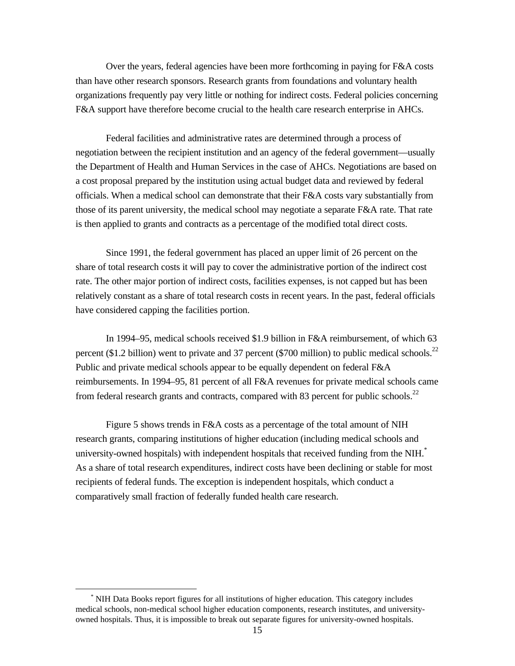Over the years, federal agencies have been more forthcoming in paying for F&A costs than have other research sponsors. Research grants from foundations and voluntary health organizations frequently pay very little or nothing for indirect costs. Federal policies concerning F&A support have therefore become crucial to the health care research enterprise in AHCs.

Federal facilities and administrative rates are determined through a process of negotiation between the recipient institution and an agency of the federal government—usually the Department of Health and Human Services in the case of AHCs. Negotiations are based on a cost proposal prepared by the institution using actual budget data and reviewed by federal officials. When a medical school can demonstrate that their F&A costs vary substantially from those of its parent university, the medical school may negotiate a separate F&A rate. That rate is then applied to grants and contracts as a percentage of the modified total direct costs.

Since 1991, the federal government has placed an upper limit of 26 percent on the share of total research costs it will pay to cover the administrative portion of the indirect cost rate. The other major portion of indirect costs, facilities expenses, is not capped but has been relatively constant as a share of total research costs in recent years. In the past, federal officials have considered capping the facilities portion.

In 1994–95, medical schools received \$1.9 billion in F&A reimbursement, of which 63 percent (\$1.2 billion) went to private and 37 percent (\$700 million) to public medical schools.<sup>22</sup> Public and private medical schools appear to be equally dependent on federal F&A reimbursements. In 1994–95, 81 percent of all F&A revenues for private medical schools came from federal research grants and contracts, compared with 83 percent for public schools.<sup>22</sup>

Figure 5 shows trends in F&A costs as a percentage of the total amount of NIH research grants, comparing institutions of higher education (including medical schools and university-owned hospitals) with independent hospitals that received funding from the NIH.<sup>\*</sup> As a share of total research expenditures, indirect costs have been declining or stable for most recipients of federal funds. The exception is independent hospitals, which conduct a comparatively small fraction of federally funded health care research.

 $\overline{a}$ 

<sup>\*</sup> NIH Data Books report figures for all institutions of higher education. This category includes medical schools, non-medical school higher education components, research institutes, and universityowned hospitals. Thus, it is impossible to break out separate figures for university-owned hospitals.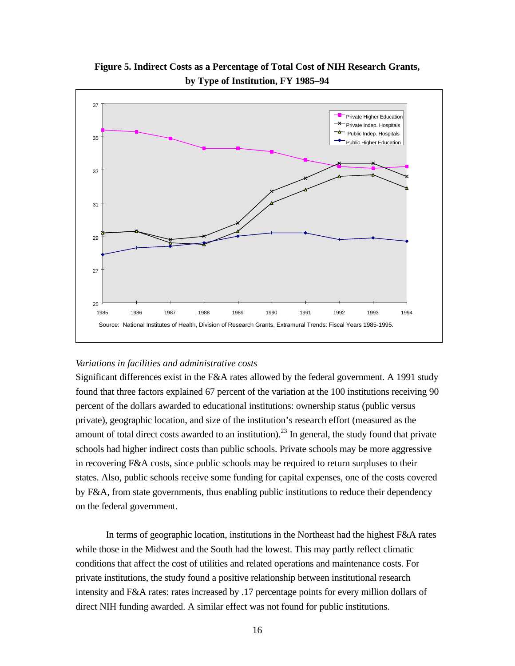

**Figure 5. Indirect Costs as a Percentage of Total Cost of NIH Research Grants, by Type of Institution, FY 1985–94**

#### *Variations in facilities and administrative costs*

Significant differences exist in the F&A rates allowed by the federal government. A 1991 study found that three factors explained 67 percent of the variation at the 100 institutions receiving 90 percent of the dollars awarded to educational institutions: ownership status (public versus private), geographic location, and size of the institution's research effort (measured as the amount of total direct costs awarded to an institution).<sup>23</sup> In general, the study found that private schools had higher indirect costs than public schools. Private schools may be more aggressive in recovering F&A costs, since public schools may be required to return surpluses to their states. Also, public schools receive some funding for capital expenses, one of the costs covered by F&A, from state governments, thus enabling public institutions to reduce their dependency on the federal government.

In terms of geographic location, institutions in the Northeast had the highest F&A rates while those in the Midwest and the South had the lowest. This may partly reflect climatic conditions that affect the cost of utilities and related operations and maintenance costs. For private institutions, the study found a positive relationship between institutional research intensity and F&A rates: rates increased by .17 percentage points for every million dollars of direct NIH funding awarded. A similar effect was not found for public institutions.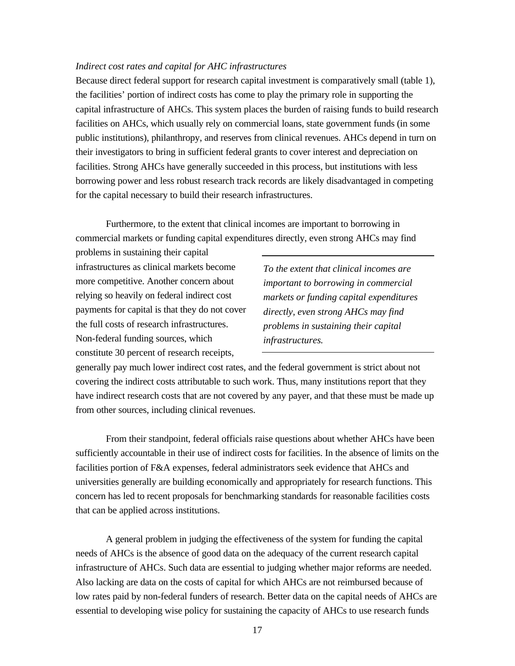#### *Indirect cost rates and capital for AHC infrastructures*

Because direct federal support for research capital investment is comparatively small (table 1), the facilities' portion of indirect costs has come to play the primary role in supporting the capital infrastructure of AHCs. This system places the burden of raising funds to build research facilities on AHCs, which usually rely on commercial loans, state government funds (in some public institutions), philanthropy, and reserves from clinical revenues. AHCs depend in turn on their investigators to bring in sufficient federal grants to cover interest and depreciation on facilities. Strong AHCs have generally succeeded in this process, but institutions with less borrowing power and less robust research track records are likely disadvantaged in competing for the capital necessary to build their research infrastructures.

Furthermore, to the extent that clinical incomes are important to borrowing in commercial markets or funding capital expenditures directly, even strong AHCs may find

problems in sustaining their capital infrastructures as clinical markets become more competitive. Another concern about relying so heavily on federal indirect cost payments for capital is that they do not cover the full costs of research infrastructures. Non-federal funding sources, which constitute 30 percent of research receipts,

*To the extent that clinical incomes are important to borrowing in commercial markets or funding capital expenditures directly, even strong AHCs may find problems in sustaining their capital infrastructures.*

generally pay much lower indirect cost rates, and the federal government is strict about not covering the indirect costs attributable to such work. Thus, many institutions report that they have indirect research costs that are not covered by any payer, and that these must be made up from other sources, including clinical revenues.

From their standpoint, federal officials raise questions about whether AHCs have been sufficiently accountable in their use of indirect costs for facilities. In the absence of limits on the facilities portion of F&A expenses, federal administrators seek evidence that AHCs and universities generally are building economically and appropriately for research functions. This concern has led to recent proposals for benchmarking standards for reasonable facilities costs that can be applied across institutions.

A general problem in judging the effectiveness of the system for funding the capital needs of AHCs is the absence of good data on the adequacy of the current research capital infrastructure of AHCs. Such data are essential to judging whether major reforms are needed. Also lacking are data on the costs of capital for which AHCs are not reimbursed because of low rates paid by non-federal funders of research. Better data on the capital needs of AHCs are essential to developing wise policy for sustaining the capacity of AHCs to use research funds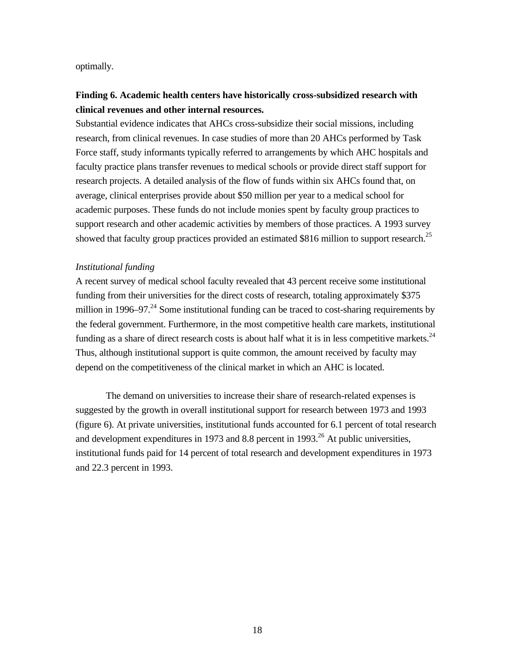optimally.

### **Finding 6. Academic health centers have historically cross-subsidized research with clinical revenues and other internal resources.**

Substantial evidence indicates that AHCs cross-subsidize their social missions, including research, from clinical revenues. In case studies of more than 20 AHCs performed by Task Force staff, study informants typically referred to arrangements by which AHC hospitals and faculty practice plans transfer revenues to medical schools or provide direct staff support for research projects. A detailed analysis of the flow of funds within six AHCs found that, on average, clinical enterprises provide about \$50 million per year to a medical school for academic purposes. These funds do not include monies spent by faculty group practices to support research and other academic activities by members of those practices. A 1993 survey showed that faculty group practices provided an estimated \$816 million to support research.<sup>25</sup>

#### *Institutional funding*

A recent survey of medical school faculty revealed that 43 percent receive some institutional funding from their universities for the direct costs of research, totaling approximately \$375 million in 1996–97. $^{24}$  Some institutional funding can be traced to cost-sharing requirements by the federal government. Furthermore, in the most competitive health care markets, institutional funding as a share of direct research costs is about half what it is in less competitive markets.<sup>24</sup> Thus, although institutional support is quite common, the amount received by faculty may depend on the competitiveness of the clinical market in which an AHC is located.

The demand on universities to increase their share of research-related expenses is suggested by the growth in overall institutional support for research between 1973 and 1993 (figure 6). At private universities, institutional funds accounted for 6.1 percent of total research and development expenditures in 1973 and 8.8 percent in 1993.<sup>26</sup> At public universities, institutional funds paid for 14 percent of total research and development expenditures in 1973 and 22.3 percent in 1993.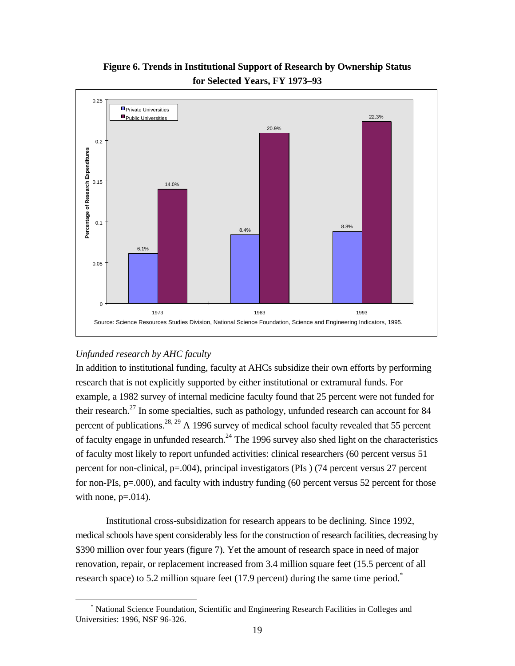

**Figure 6. Trends in Institutional Support of Research by Ownership Status for Selected Years, FY 1973–93**

### *Unfunded research by AHC faculty*

 $\overline{a}$ 

In addition to institutional funding, faculty at AHCs subsidize their own efforts by performing research that is not explicitly supported by either institutional or extramural funds. For example, a 1982 survey of internal medicine faculty found that 25 percent were not funded for their research.<sup>27</sup> In some specialties, such as pathology, unfunded research can account for 84 percent of publications.<sup>28, 29</sup> A 1996 survey of medical school faculty revealed that 55 percent of faculty engage in unfunded research.<sup>24</sup> The 1996 survey also shed light on the characteristics of faculty most likely to report unfunded activities: clinical researchers (60 percent versus 51 percent for non-clinical, p=.004), principal investigators (PIs ) (74 percent versus 27 percent for non-PIs, p=.000), and faculty with industry funding (60 percent versus 52 percent for those with none,  $p=.014$ .

Institutional cross-subsidization for research appears to be declining. Since 1992, medical schools have spent considerably less for the construction of research facilities, decreasing by \$390 million over four years (figure 7). Yet the amount of research space in need of major renovation, repair, or replacement increased from 3.4 million square feet (15.5 percent of all research space) to 5.2 million square feet (17.9 percent) during the same time period. $*$ 

<sup>\*</sup> National Science Foundation, Scientific and Engineering Research Facilities in Colleges and Universities: 1996, NSF 96-326.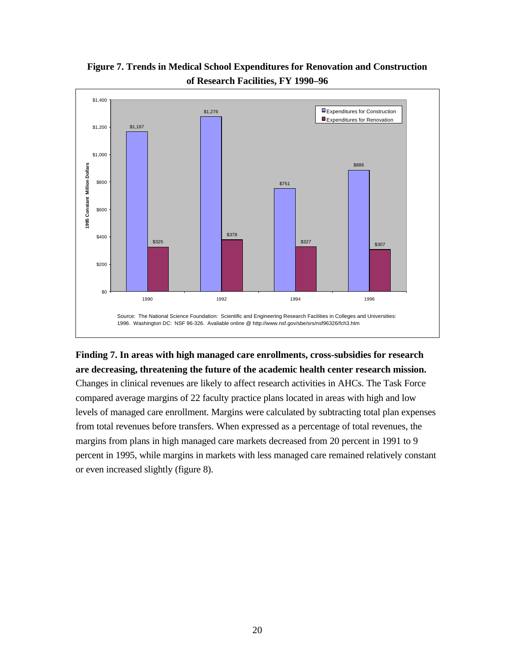

## **Figure 7. Trends in Medical School Expenditures for Renovation and Construction of Research Facilities, FY 1990–96**

# **Finding 7. In areas with high managed care enrollments, cross-subsidies for research are decreasing, threatening the future of the academic health center research mission.**

Changes in clinical revenues are likely to affect research activities in AHCs. The Task Force compared average margins of 22 faculty practice plans located in areas with high and low levels of managed care enrollment. Margins were calculated by subtracting total plan expenses from total revenues before transfers. When expressed as a percentage of total revenues, the margins from plans in high managed care markets decreased from 20 percent in 1991 to 9 percent in 1995, while margins in markets with less managed care remained relatively constant or even increased slightly (figure 8).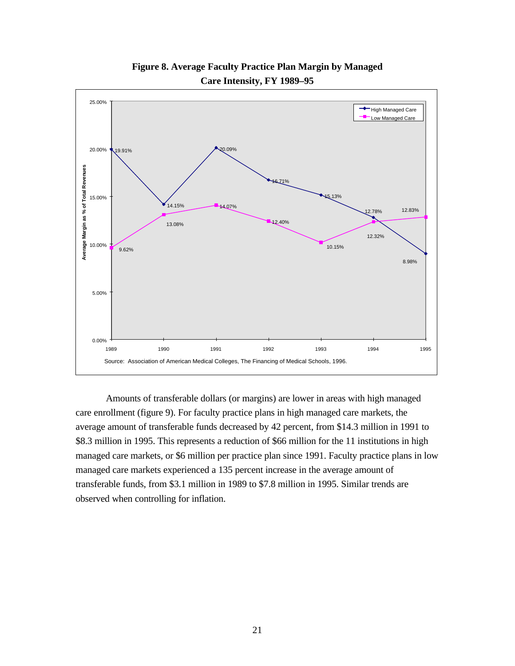

**Figure 8. Average Faculty Practice Plan Margin by Managed Care Intensity, FY 1989–95**

Amounts of transferable dollars (or margins) are lower in areas with high managed care enrollment (figure 9). For faculty practice plans in high managed care markets, the average amount of transferable funds decreased by 42 percent, from \$14.3 million in 1991 to \$8.3 million in 1995. This represents a reduction of \$66 million for the 11 institutions in high managed care markets, or \$6 million per practice plan since 1991. Faculty practice plans in low managed care markets experienced a 135 percent increase in the average amount of transferable funds, from \$3.1 million in 1989 to \$7.8 million in 1995. Similar trends are observed when controlling for inflation.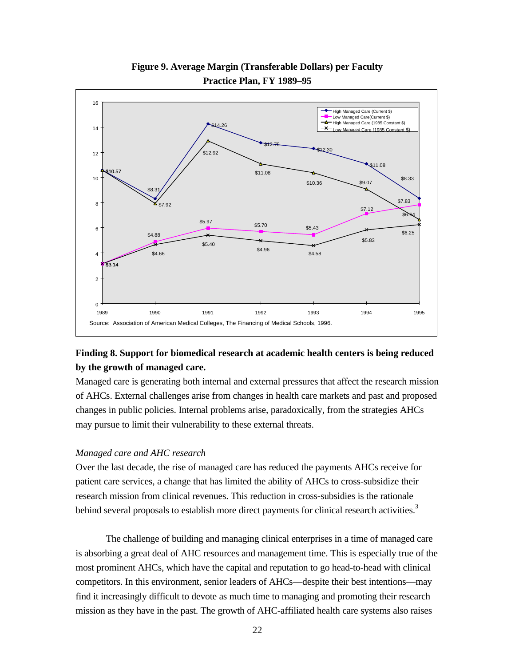

## **Figure 9. Average Margin (Transferable Dollars) per Faculty Practice Plan, FY 1989–95**

### **Finding 8. Support for biomedical research at academic health centers is being reduced by the growth of managed care.**

Managed care is generating both internal and external pressures that affect the research mission of AHCs. External challenges arise from changes in health care markets and past and proposed changes in public policies. Internal problems arise, paradoxically, from the strategies AHCs may pursue to limit their vulnerability to these external threats.

### *Managed care and AHC research*

Over the last decade, the rise of managed care has reduced the payments AHCs receive for patient care services, a change that has limited the ability of AHCs to cross-subsidize their research mission from clinical revenues. This reduction in cross-subsidies is the rationale behind several proposals to establish more direct payments for clinical research activities.<sup>3</sup>

The challenge of building and managing clinical enterprises in a time of managed care is absorbing a great deal of AHC resources and management time. This is especially true of the most prominent AHCs, which have the capital and reputation to go head-to-head with clinical competitors. In this environment, senior leaders of AHCs—despite their best intentions—may find it increasingly difficult to devote as much time to managing and promoting their research mission as they have in the past. The growth of AHC-affiliated health care systems also raises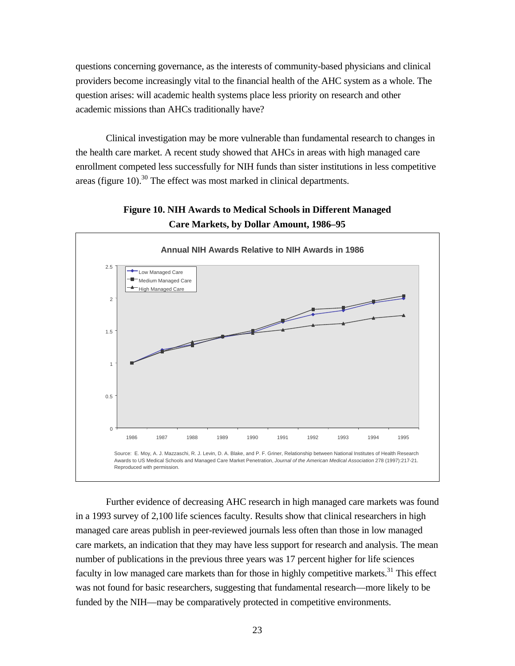questions concerning governance, as the interests of community-based physicians and clinical providers become increasingly vital to the financial health of the AHC system as a whole. The question arises: will academic health systems place less priority on research and other academic missions than AHCs traditionally have?

Clinical investigation may be more vulnerable than fundamental research to changes in the health care market. A recent study showed that AHCs in areas with high managed care enrollment competed less successfully for NIH funds than sister institutions in less competitive areas (figure  $10$ ).<sup>30</sup> The effect was most marked in clinical departments.



**Figure 10. NIH Awards to Medical Schools in Different Managed**

Further evidence of decreasing AHC research in high managed care markets was found in a 1993 survey of 2,100 life sciences faculty. Results show that clinical researchers in high managed care areas publish in peer-reviewed journals less often than those in low managed care markets, an indication that they may have less support for research and analysis. The mean number of publications in the previous three years was 17 percent higher for life sciences faculty in low managed care markets than for those in highly competitive markets.<sup>31</sup> This effect was not found for basic researchers, suggesting that fundamental research—more likely to be funded by the NIH—may be comparatively protected in competitive environments.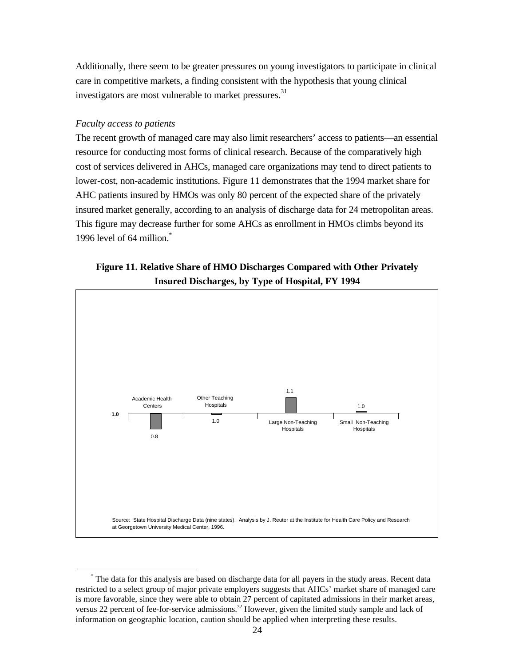Additionally, there seem to be greater pressures on young investigators to participate in clinical care in competitive markets, a finding consistent with the hypothesis that young clinical investigators are most vulnerable to market pressures.<sup>31</sup>

### *Faculty access to patients*

 $\overline{a}$ 

The recent growth of managed care may also limit researchers' access to patients—an essential resource for conducting most forms of clinical research. Because of the comparatively high cost of services delivered in AHCs, managed care organizations may tend to direct patients to lower-cost, non-academic institutions. Figure 11 demonstrates that the 1994 market share for AHC patients insured by HMOs was only 80 percent of the expected share of the privately insured market generally, according to an analysis of discharge data for 24 metropolitan areas. This figure may decrease further for some AHCs as enrollment in HMOs climbs beyond its 1996 level of 64 million.\*

### **Figure 11. Relative Share of HMO Discharges Compared with Other Privately Insured Discharges, by Type of Hospital, FY 1994**



<sup>\*</sup> The data for this analysis are based on discharge data for all payers in the study areas. Recent data restricted to a select group of major private employers suggests that AHCs' market share of managed care is more favorable, since they were able to obtain 27 percent of capitated admissions in their market areas, versus 22 percent of fee-for-service admissions.<sup>32</sup> However, given the limited study sample and lack of information on geographic location, caution should be applied when interpreting these results.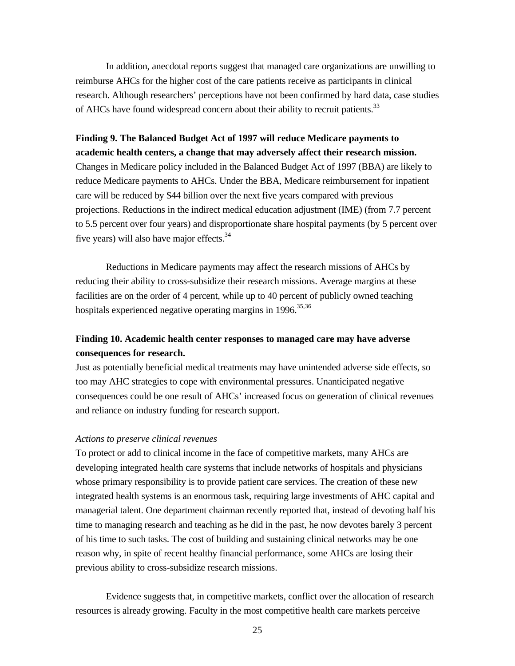In addition, anecdotal reports suggest that managed care organizations are unwilling to reimburse AHCs for the higher cost of the care patients receive as participants in clinical research. Although researchers' perceptions have not been confirmed by hard data, case studies of AHCs have found widespread concern about their ability to recruit patients.<sup>33</sup>

# **Finding 9. The Balanced Budget Act of 1997 will reduce Medicare payments to academic health centers, a change that may adversely affect their research mission.** Changes in Medicare policy included in the Balanced Budget Act of 1997 (BBA) are likely to reduce Medicare payments to AHCs. Under the BBA, Medicare reimbursement for inpatient care will be reduced by \$44 billion over the next five years compared with previous projections. Reductions in the indirect medical education adjustment (IME) (from 7.7 percent to 5.5 percent over four years) and disproportionate share hospital payments (by 5 percent over five years) will also have major effects.<sup>34</sup>

Reductions in Medicare payments may affect the research missions of AHCs by reducing their ability to cross-subsidize their research missions. Average margins at these facilities are on the order of 4 percent, while up to 40 percent of publicly owned teaching hospitals experienced negative operating margins in  $1996$ <sup>35,36</sup>

### **Finding 10. Academic health center responses to managed care may have adverse consequences for research.**

Just as potentially beneficial medical treatments may have unintended adverse side effects, so too may AHC strategies to cope with environmental pressures. Unanticipated negative consequences could be one result of AHCs' increased focus on generation of clinical revenues and reliance on industry funding for research support.

### *Actions to preserve clinical revenues*

To protect or add to clinical income in the face of competitive markets, many AHCs are developing integrated health care systems that include networks of hospitals and physicians whose primary responsibility is to provide patient care services. The creation of these new integrated health systems is an enormous task, requiring large investments of AHC capital and managerial talent. One department chairman recently reported that, instead of devoting half his time to managing research and teaching as he did in the past, he now devotes barely 3 percent of his time to such tasks. The cost of building and sustaining clinical networks may be one reason why, in spite of recent healthy financial performance, some AHCs are losing their previous ability to cross-subsidize research missions.

Evidence suggests that, in competitive markets, conflict over the allocation of research resources is already growing. Faculty in the most competitive health care markets perceive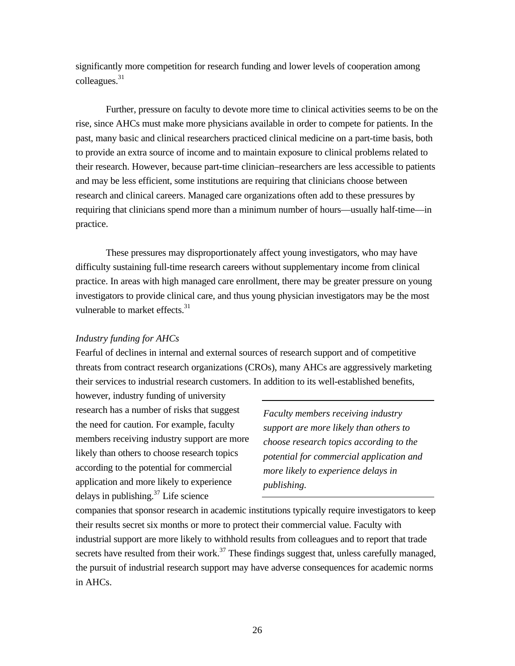significantly more competition for research funding and lower levels of cooperation among colleagues.<sup>31</sup>

Further, pressure on faculty to devote more time to clinical activities seems to be on the rise, since AHCs must make more physicians available in order to compete for patients. In the past, many basic and clinical researchers practiced clinical medicine on a part-time basis, both to provide an extra source of income and to maintain exposure to clinical problems related to their research. However, because part-time clinician–researchers are less accessible to patients and may be less efficient, some institutions are requiring that clinicians choose between research and clinical careers. Managed care organizations often add to these pressures by requiring that clinicians spend more than a minimum number of hours—usually half-time—in practice.

These pressures may disproportionately affect young investigators, who may have difficulty sustaining full-time research careers without supplementary income from clinical practice. In areas with high managed care enrollment, there may be greater pressure on young investigators to provide clinical care, and thus young physician investigators may be the most vulnerable to market effects.<sup>31</sup>

### *Industry funding for AHCs*

Fearful of declines in internal and external sources of research support and of competitive threats from contract research organizations (CROs), many AHCs are aggressively marketing their services to industrial research customers. In addition to its well-established benefits,

however, industry funding of university research has a number of risks that suggest the need for caution. For example, faculty members receiving industry support are more likely than others to choose research topics according to the potential for commercial application and more likely to experience delays in publishing. $37$  Life science

*Faculty members receiving industry support are more likely than others to choose research topics according to the potential for commercial application and more likely to experience delays in publishing.*

companies that sponsor research in academic institutions typically require investigators to keep their results secret six months or more to protect their commercial value. Faculty with industrial support are more likely to withhold results from colleagues and to report that trade secrets have resulted from their work.<sup>37</sup> These findings suggest that, unless carefully managed, the pursuit of industrial research support may have adverse consequences for academic norms in AHCs.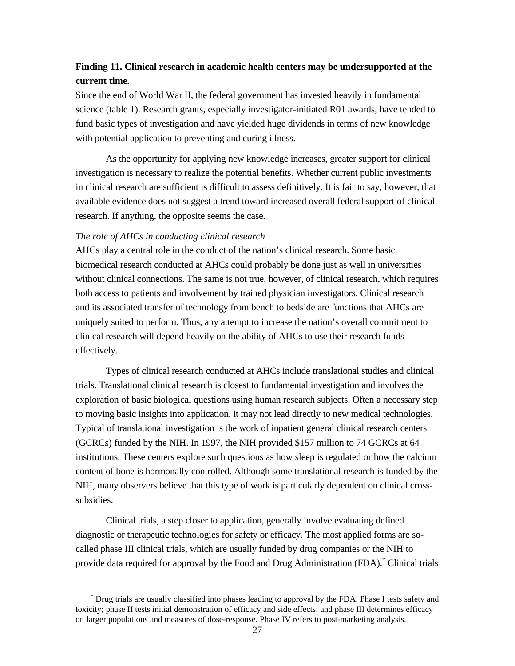### **Finding 11. Clinical research in academic health centers may be undersupported at the current time.**

Since the end of World War II, the federal government has invested heavily in fundamental science (table 1). Research grants, especially investigator-initiated R01 awards, have tended to fund basic types of investigation and have yielded huge dividends in terms of new knowledge with potential application to preventing and curing illness.

As the opportunity for applying new knowledge increases, greater support for clinical investigation is necessary to realize the potential benefits. Whether current public investments in clinical research are sufficient is difficult to assess definitively. It is fair to say, however, that available evidence does not suggest a trend toward increased overall federal support of clinical research. If anything, the opposite seems the case.

#### *The role of AHCs in conducting clinical research*

 $\overline{a}$ 

AHCs play a central role in the conduct of the nation's clinical research. Some basic biomedical research conducted at AHCs could probably be done just as well in universities without clinical connections. The same is not true, however, of clinical research, which requires both access to patients and involvement by trained physician investigators. Clinical research and its associated transfer of technology from bench to bedside are functions that AHCs are uniquely suited to perform. Thus, any attempt to increase the nation's overall commitment to clinical research will depend heavily on the ability of AHCs to use their research funds effectively.

Types of clinical research conducted at AHCs include translational studies and clinical trials. Translational clinical research is closest to fundamental investigation and involves the exploration of basic biological questions using human research subjects. Often a necessary step to moving basic insights into application, it may not lead directly to new medical technologies. Typical of translational investigation is the work of inpatient general clinical research centers (GCRCs) funded by the NIH. In 1997, the NIH provided \$157 million to 74 GCRCs at 64 institutions. These centers explore such questions as how sleep is regulated or how the calcium content of bone is hormonally controlled. Although some translational research is funded by the NIH, many observers believe that this type of work is particularly dependent on clinical crosssubsidies.

Clinical trials, a step closer to application, generally involve evaluating defined diagnostic or therapeutic technologies for safety or efficacy. The most applied forms are socalled phase III clinical trials, which are usually funded by drug companies or the NIH to provide data required for approval by the Food and Drug Administration (FDA). Clinical trials

Drug trials are usually classified into phases leading to approval by the FDA. Phase I tests safety and toxicity; phase II tests initial demonstration of efficacy and side effects; and phase III determines efficacy on larger populations and measures of dose-response. Phase IV refers to post-marketing analysis.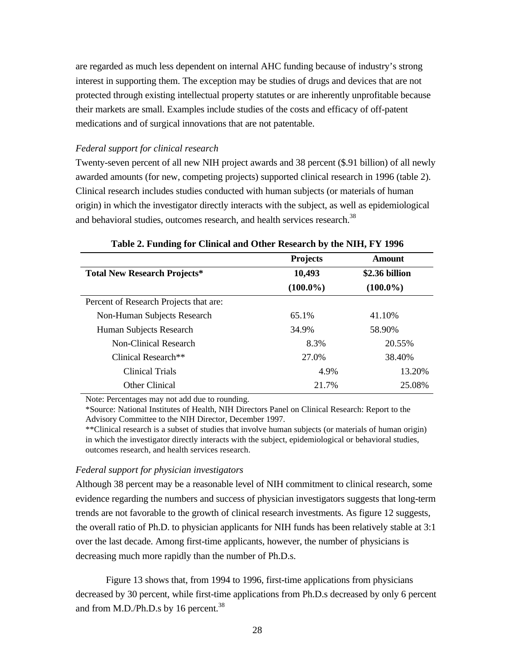are regarded as much less dependent on internal AHC funding because of industry's strong interest in supporting them. The exception may be studies of drugs and devices that are not protected through existing intellectual property statutes or are inherently unprofitable because their markets are small. Examples include studies of the costs and efficacy of off-patent medications and of surgical innovations that are not patentable.

#### *Federal support for clinical research*

Twenty-seven percent of all new NIH project awards and 38 percent (\$.91 billion) of all newly awarded amounts (for new, competing projects) supported clinical research in 1996 (table 2). Clinical research includes studies conducted with human subjects (or materials of human origin) in which the investigator directly interacts with the subject, as well as epidemiological and behavioral studies, outcomes research, and health services research.<sup>38</sup>

|                                        | <b>Projects</b> | Amount         |
|----------------------------------------|-----------------|----------------|
| <b>Total New Research Projects*</b>    | 10,493          | \$2.36 billion |
|                                        | $(100.0\%)$     | $(100.0\%)$    |
| Percent of Research Projects that are: |                 |                |
| Non-Human Subjects Research            | 65.1%           | 41.10%         |
| Human Subjects Research                | 34.9%           | 58.90%         |
| Non-Clinical Research                  | 8.3%            | 20.55%         |
| Clinical Research <sup>**</sup>        | 27.0%           | 38.40%         |
| Clinical Trials                        | 4.9%            | 13.20%         |
| Other Clinical                         | 21.7%           | 25.08%         |

| Table 2. Funding for Clinical and Other Research by the NIH, FY 1996 |
|----------------------------------------------------------------------|
|----------------------------------------------------------------------|

Note: Percentages may not add due to rounding.

\*Source: National Institutes of Health, NIH Directors Panel on Clinical Research: Report to the Advisory Committee to the NIH Director, December 1997.

\*\*Clinical research is a subset of studies that involve human subjects (or materials of human origin) in which the investigator directly interacts with the subject, epidemiological or behavioral studies, outcomes research, and health services research.

#### *Federal support for physician investigators*

Although 38 percent may be a reasonable level of NIH commitment to clinical research, some evidence regarding the numbers and success of physician investigators suggests that long-term trends are not favorable to the growth of clinical research investments. As figure 12 suggests, the overall ratio of Ph.D. to physician applicants for NIH funds has been relatively stable at 3:1 over the last decade. Among first-time applicants, however, the number of physicians is decreasing much more rapidly than the number of Ph.D.s.

Figure 13 shows that, from 1994 to 1996, first-time applications from physicians decreased by 30 percent, while first-time applications from Ph.D.s decreased by only 6 percent and from M.D./Ph.D.s by 16 percent.<sup>38</sup>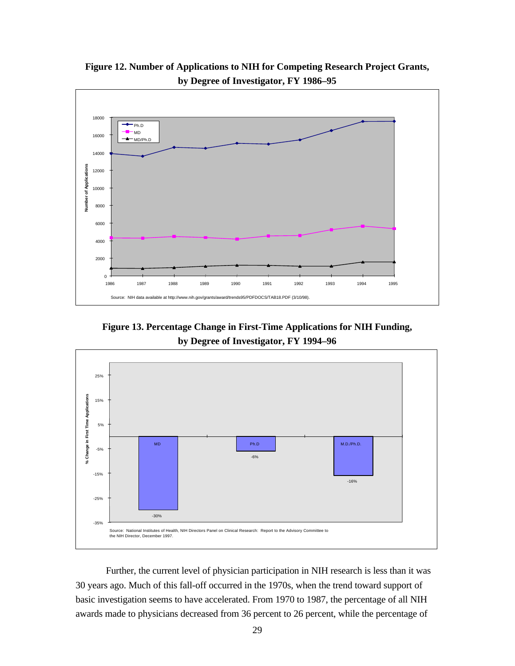

**Figure 12. Number of Applications to NIH for Competing Research Project Grants, by Degree of Investigator, FY 1986–95**

**Figure 13. Percentage Change in First-Time Applications for NIH Funding, by Degree of Investigator, FY 1994–96**



Further, the current level of physician participation in NIH research is less than it was 30 years ago. Much of this fall-off occurred in the 1970s, when the trend toward support of basic investigation seems to have accelerated. From 1970 to 1987, the percentage of all NIH awards made to physicians decreased from 36 percent to 26 percent, while the percentage of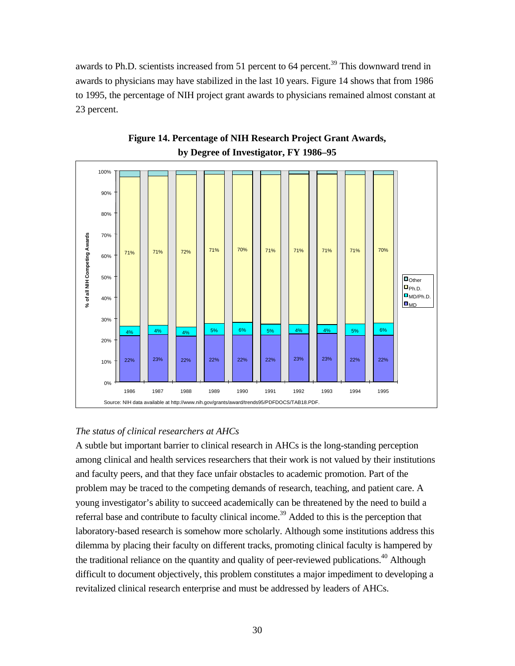awards to Ph.D. scientists increased from 51 percent to 64 percent.<sup>39</sup> This downward trend in awards to physicians may have stabilized in the last 10 years. Figure 14 shows that from 1986 to 1995, the percentage of NIH project grant awards to physicians remained almost constant at 23 percent.





### *The status of clinical researchers at AHCs*

A subtle but important barrier to clinical research in AHCs is the long-standing perception among clinical and health services researchers that their work is not valued by their institutions and faculty peers, and that they face unfair obstacles to academic promotion. Part of the problem may be traced to the competing demands of research, teaching, and patient care. A young investigator's ability to succeed academically can be threatened by the need to build a referral base and contribute to faculty clinical income.<sup>39</sup> Added to this is the perception that laboratory-based research is somehow more scholarly. Although some institutions address this dilemma by placing their faculty on different tracks, promoting clinical faculty is hampered by the traditional reliance on the quantity and quality of peer-reviewed publications.<sup>40</sup> Although difficult to document objectively, this problem constitutes a major impediment to developing a revitalized clinical research enterprise and must be addressed by leaders of AHCs.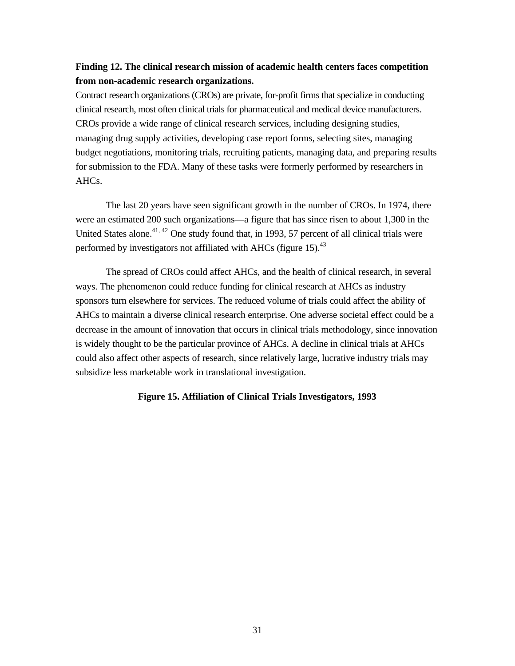### **Finding 12. The clinical research mission of academic health centers faces competition from non-academic research organizations.**

Contract research organizations (CROs) are private, for-profit firms that specialize in conducting clinical research, most often clinical trials for pharmaceutical and medical device manufacturers. CROs provide a wide range of clinical research services, including designing studies, managing drug supply activities, developing case report forms, selecting sites, managing budget negotiations, monitoring trials, recruiting patients, managing data, and preparing results for submission to the FDA. Many of these tasks were formerly performed by researchers in AHCs.

The last 20 years have seen significant growth in the number of CROs. In 1974, there were an estimated 200 such organizations—a figure that has since risen to about 1,300 in the United States alone.<sup>41, 42</sup> One study found that, in 1993, 57 percent of all clinical trials were performed by investigators not affiliated with AHCs (figure 15).  $43$ 

The spread of CROs could affect AHCs, and the health of clinical research, in several ways. The phenomenon could reduce funding for clinical research at AHCs as industry sponsors turn elsewhere for services. The reduced volume of trials could affect the ability of AHCs to maintain a diverse clinical research enterprise. One adverse societal effect could be a decrease in the amount of innovation that occurs in clinical trials methodology, since innovation is widely thought to be the particular province of AHCs. A decline in clinical trials at AHCs could also affect other aspects of research, since relatively large, lucrative industry trials may subsidize less marketable work in translational investigation.

#### **Figure 15. Affiliation of Clinical Trials Investigators, 1993**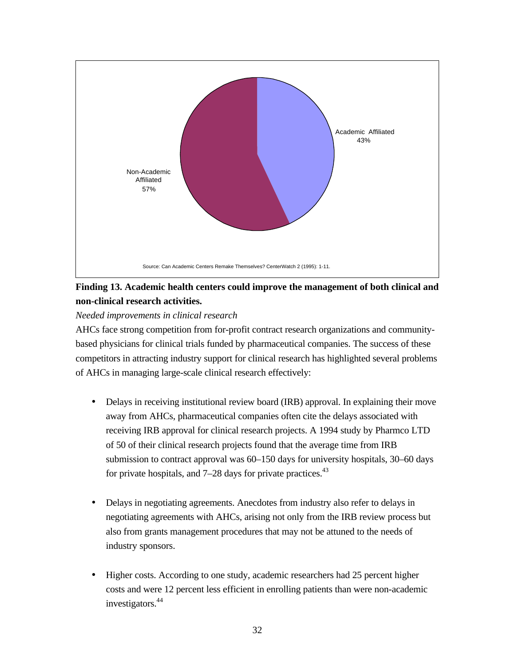

# **Finding 13. Academic health centers could improve the management of both clinical and non-clinical research activities.**

*Needed improvements in clinical research*

AHCs face strong competition from for-profit contract research organizations and communitybased physicians for clinical trials funded by pharmaceutical companies. The success of these competitors in attracting industry support for clinical research has highlighted several problems of AHCs in managing large-scale clinical research effectively:

- Delays in receiving institutional review board (IRB) approval. In explaining their move away from AHCs, pharmaceutical companies often cite the delays associated with receiving IRB approval for clinical research projects. A 1994 study by Pharmco LTD of 50 of their clinical research projects found that the average time from IRB submission to contract approval was 60–150 days for university hospitals, 30–60 days for private hospitals, and  $7-28$  days for private practices.<sup>43</sup>
- Delays in negotiating agreements. Anecdotes from industry also refer to delays in negotiating agreements with AHCs, arising not only from the IRB review process but also from grants management procedures that may not be attuned to the needs of industry sponsors.
- Higher costs. According to one study, academic researchers had 25 percent higher costs and were 12 percent less efficient in enrolling patients than were non-academic investigators.<sup>44</sup>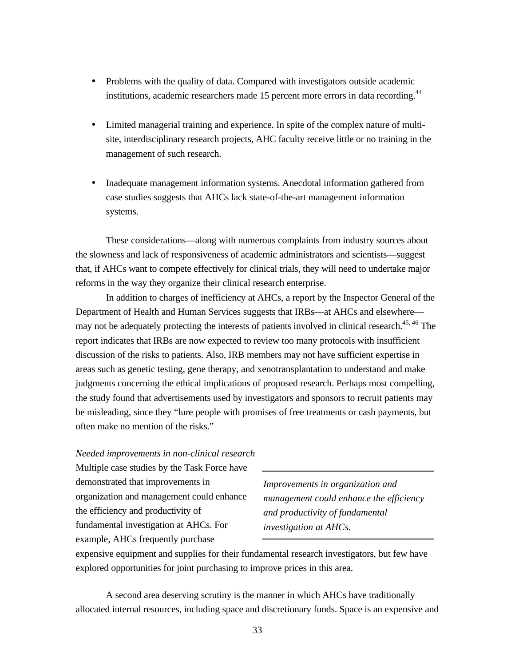- Problems with the quality of data. Compared with investigators outside academic institutions, academic researchers made 15 percent more errors in data recording.<sup>44</sup>
- Limited managerial training and experience. In spite of the complex nature of multisite, interdisciplinary research projects, AHC faculty receive little or no training in the management of such research.
- Inadequate management information systems. Anecdotal information gathered from case studies suggests that AHCs lack state-of-the-art management information systems.

These considerations—along with numerous complaints from industry sources about the slowness and lack of responsiveness of academic administrators and scientists—suggest that, if AHCs want to compete effectively for clinical trials, they will need to undertake major reforms in the way they organize their clinical research enterprise.

In addition to charges of inefficiency at AHCs, a report by the Inspector General of the Department of Health and Human Services suggests that IRBs—at AHCs and elsewhere may not be adequately protecting the interests of patients involved in clinical research.<sup>45, 46</sup> The report indicates that IRBs are now expected to review too many protocols with insufficient discussion of the risks to patients. Also, IRB members may not have sufficient expertise in areas such as genetic testing, gene therapy, and xenotransplantation to understand and make judgments concerning the ethical implications of proposed research. Perhaps most compelling, the study found that advertisements used by investigators and sponsors to recruit patients may be misleading, since they "lure people with promises of free treatments or cash payments, but often make no mention of the risks."

### *Needed improvements in non-clinical research*

Multiple case studies by the Task Force have demonstrated that improvements in organization and management could enhance the efficiency and productivity of fundamental investigation at AHCs. For example, AHCs frequently purchase

*Improvements in organization and management could enhance the efficiency and productivity of fundamental investigation at AHCs.*

expensive equipment and supplies for their fundamental research investigators, but few have explored opportunities for joint purchasing to improve prices in this area.

A second area deserving scrutiny is the manner in which AHCs have traditionally allocated internal resources, including space and discretionary funds. Space is an expensive and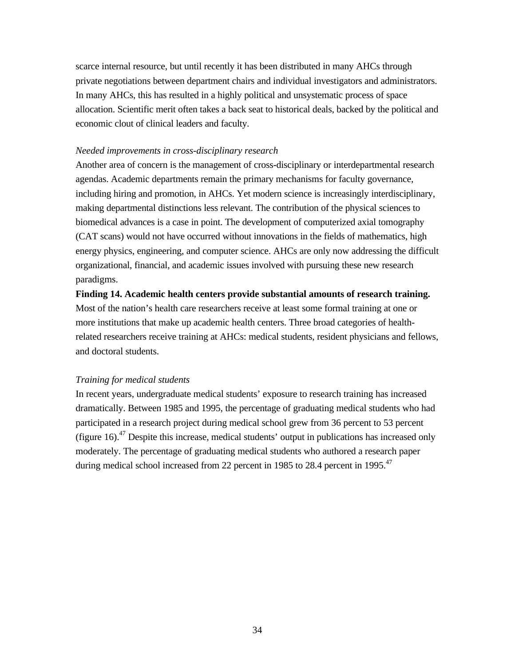scarce internal resource, but until recently it has been distributed in many AHCs through private negotiations between department chairs and individual investigators and administrators. In many AHCs, this has resulted in a highly political and unsystematic process of space allocation. Scientific merit often takes a back seat to historical deals, backed by the political and economic clout of clinical leaders and faculty.

#### *Needed improvements in cross-disciplinary research*

Another area of concern is the management of cross-disciplinary or interdepartmental research agendas. Academic departments remain the primary mechanisms for faculty governance, including hiring and promotion, in AHCs. Yet modern science is increasingly interdisciplinary, making departmental distinctions less relevant. The contribution of the physical sciences to biomedical advances is a case in point. The development of computerized axial tomography (CAT scans) would not have occurred without innovations in the fields of mathematics, high energy physics, engineering, and computer science. AHCs are only now addressing the difficult organizational, financial, and academic issues involved with pursuing these new research paradigms.

**Finding 14. Academic health centers provide substantial amounts of research training.** Most of the nation's health care researchers receive at least some formal training at one or more institutions that make up academic health centers. Three broad categories of healthrelated researchers receive training at AHCs: medical students, resident physicians and fellows, and doctoral students.

### *Training for medical students*

In recent years, undergraduate medical students' exposure to research training has increased dramatically. Between 1985 and 1995, the percentage of graduating medical students who had participated in a research project during medical school grew from 36 percent to 53 percent (figure 16).<sup>47</sup> Despite this increase, medical students' output in publications has increased only moderately. The percentage of graduating medical students who authored a research paper during medical school increased from 22 percent in 1985 to 28.4 percent in 1995.<sup>47</sup>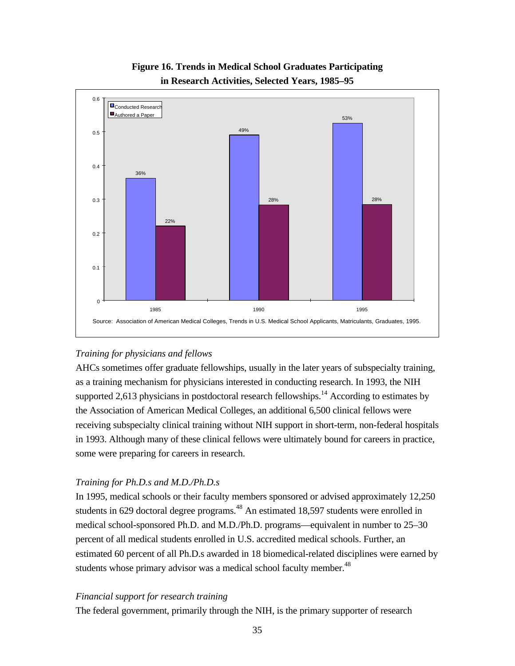

# **Figure 16. Trends in Medical School Graduates Participating in Research Activities, Selected Years, 1985–95**

### *Training for physicians and fellows*

AHCs sometimes offer graduate fellowships, usually in the later years of subspecialty training, as a training mechanism for physicians interested in conducting research. In 1993, the NIH supported 2,613 physicians in postdoctoral research fellowships.<sup>14</sup> According to estimates by the Association of American Medical Colleges, an additional 6,500 clinical fellows were receiving subspecialty clinical training without NIH support in short-term, non-federal hospitals in 1993. Although many of these clinical fellows were ultimately bound for careers in practice, some were preparing for careers in research.

### *Training for Ph.D.s and M.D./Ph.D.s*

In 1995, medical schools or their faculty members sponsored or advised approximately 12,250 students in 629 doctoral degree programs.<sup>48</sup> An estimated 18,597 students were enrolled in medical school-sponsored Ph.D. and M.D./Ph.D. programs—equivalent in number to 25–30 percent of all medical students enrolled in U.S. accredited medical schools. Further, an estimated 60 percent of all Ph.D.s awarded in 18 biomedical-related disciplines were earned by students whose primary advisor was a medical school faculty member.<sup>48</sup>

### *Financial support for research training*

The federal government, primarily through the NIH, is the primary supporter of research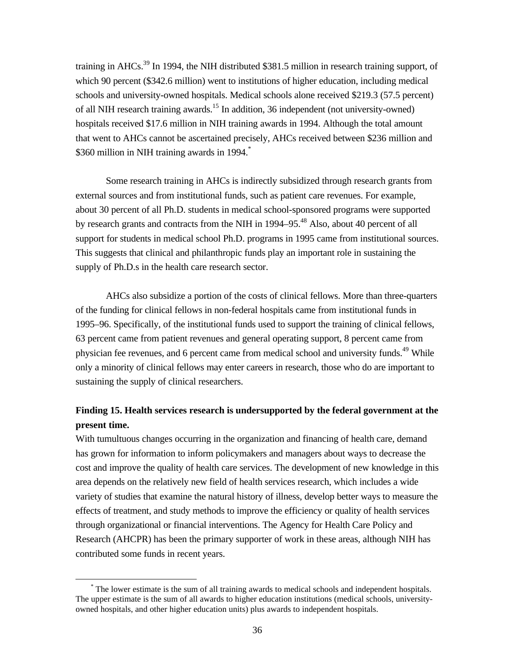training in AHCs.<sup>39</sup> In 1994, the NIH distributed \$381.5 million in research training support, of which 90 percent (\$342.6 million) went to institutions of higher education, including medical schools and university-owned hospitals. Medical schools alone received \$219.3 (57.5 percent) of all NIH research training awards.<sup>15</sup> In addition, 36 independent (not university-owned) hospitals received \$17.6 million in NIH training awards in 1994. Although the total amount that went to AHCs cannot be ascertained precisely, AHCs received between \$236 million and \$360 million in NIH training awards in 1994.<sup>\*</sup>

Some research training in AHCs is indirectly subsidized through research grants from external sources and from institutional funds, such as patient care revenues. For example, about 30 percent of all Ph.D. students in medical school-sponsored programs were supported by research grants and contracts from the NIH in 1994–95.<sup>48</sup> Also, about 40 percent of all support for students in medical school Ph.D. programs in 1995 came from institutional sources. This suggests that clinical and philanthropic funds play an important role in sustaining the supply of Ph.D.s in the health care research sector.

AHCs also subsidize a portion of the costs of clinical fellows. More than three-quarters of the funding for clinical fellows in non-federal hospitals came from institutional funds in 1995–96. Specifically, of the institutional funds used to support the training of clinical fellows, 63 percent came from patient revenues and general operating support, 8 percent came from physician fee revenues, and 6 percent came from medical school and university funds.<sup>49</sup> While only a minority of clinical fellows may enter careers in research, those who do are important to sustaining the supply of clinical researchers.

### **Finding 15. Health services research is undersupported by the federal government at the present time.**

With tumultuous changes occurring in the organization and financing of health care, demand has grown for information to inform policymakers and managers about ways to decrease the cost and improve the quality of health care services. The development of new knowledge in this area depends on the relatively new field of health services research, which includes a wide variety of studies that examine the natural history of illness, develop better ways to measure the effects of treatment, and study methods to improve the efficiency or quality of health services through organizational or financial interventions. The Agency for Health Care Policy and Research (AHCPR) has been the primary supporter of work in these areas, although NIH has contributed some funds in recent years.

<u>.</u>

<sup>\*</sup> The lower estimate is the sum of all training awards to medical schools and independent hospitals. The upper estimate is the sum of all awards to higher education institutions (medical schools, universityowned hospitals, and other higher education units) plus awards to independent hospitals.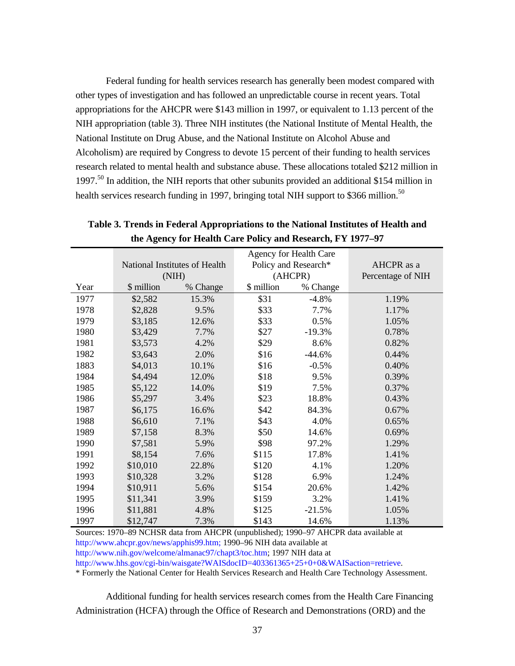Federal funding for health services research has generally been modest compared with other types of investigation and has followed an unpredictable course in recent years. Total appropriations for the AHCPR were \$143 million in 1997, or equivalent to 1.13 percent of the NIH appropriation (table 3). Three NIH institutes (the National Institute of Mental Health, the National Institute on Drug Abuse, and the National Institute on Alcohol Abuse and Alcoholism) are required by Congress to devote 15 percent of their funding to health services research related to mental health and substance abuse. These allocations totaled \$212 million in 1997.<sup>50</sup> In addition, the NIH reports that other subunits provided an additional \$154 million in health services research funding in 1997, bringing total NIH support to \$366 million.<sup>50</sup>

|      |            |                               |            | Agency for Health Care |                   |
|------|------------|-------------------------------|------------|------------------------|-------------------|
|      |            | National Institutes of Health |            | Policy and Research*   | AHCPR as a        |
|      |            | (NIH)                         |            | (AHCPR)                | Percentage of NIH |
| Year | \$ million | % Change                      | \$ million | % Change               |                   |
| 1977 | \$2,582    | 15.3%                         | \$31       | $-4.8%$                | 1.19%             |
| 1978 | \$2,828    | 9.5%                          | \$33       | 7.7%                   | 1.17%             |
| 1979 | \$3,185    | 12.6%                         | \$33       | 0.5%                   | 1.05%             |
| 1980 | \$3,429    | 7.7%                          | \$27       | $-19.3%$               | 0.78%             |
| 1981 | \$3,573    | 4.2%                          | \$29       | 8.6%                   | 0.82%             |
| 1982 | \$3,643    | 2.0%                          | \$16       | $-44.6%$               | 0.44%             |
| 1883 | \$4,013    | 10.1%                         | \$16       | $-0.5%$                | 0.40%             |
| 1984 | \$4,494    | 12.0%                         | \$18       | 9.5%                   | 0.39%             |
| 1985 | \$5,122    | 14.0%                         | \$19       | 7.5%                   | 0.37%             |
| 1986 | \$5,297    | 3.4%                          | \$23       | 18.8%                  | 0.43%             |
| 1987 | \$6,175    | 16.6%                         | \$42       | 84.3%                  | 0.67%             |
| 1988 | \$6,610    | 7.1%                          | \$43       | 4.0%                   | 0.65%             |
| 1989 | \$7,158    | 8.3%                          | \$50       | 14.6%                  | 0.69%             |
| 1990 | \$7,581    | 5.9%                          | \$98       | 97.2%                  | 1.29%             |
| 1991 | \$8,154    | 7.6%                          | \$115      | 17.8%                  | 1.41%             |
| 1992 | \$10,010   | 22.8%                         | \$120      | 4.1%                   | 1.20%             |
| 1993 | \$10,328   | 3.2%                          | \$128      | 6.9%                   | 1.24%             |
| 1994 | \$10,911   | 5.6%                          | \$154      | 20.6%                  | 1.42%             |
| 1995 | \$11,341   | 3.9%                          | \$159      | 3.2%                   | 1.41%             |
| 1996 | \$11,881   | 4.8%                          | \$125      | $-21.5%$               | 1.05%             |
| 1997 | \$12,747   | 7.3%                          | \$143      | 14.6%                  | 1.13%             |

**Table 3. Trends in Federal Appropriations to the National Institutes of Health and the Agency for Health Care Policy and Research, FY 1977–97**

Sources: 1970–89 NCHSR data from AHCPR (unpublished); 1990–97 AHCPR data available at http://www.ahcpr.gov/news/apphis99.htm; 1990–96 NIH data available at

http://www.nih.gov/welcome/almanac97/chapt3/toc.htm; 1997 NIH data at

http://www.hhs.gov/cgi-bin/waisgate?WAISdocID=403361365+25+0+0&WAISaction=retrieve.

\* Formerly the National Center for Health Services Research and Health Care Technology Assessment.

Additional funding for health services research comes from the Health Care Financing Administration (HCFA) through the Office of Research and Demonstrations (ORD) and the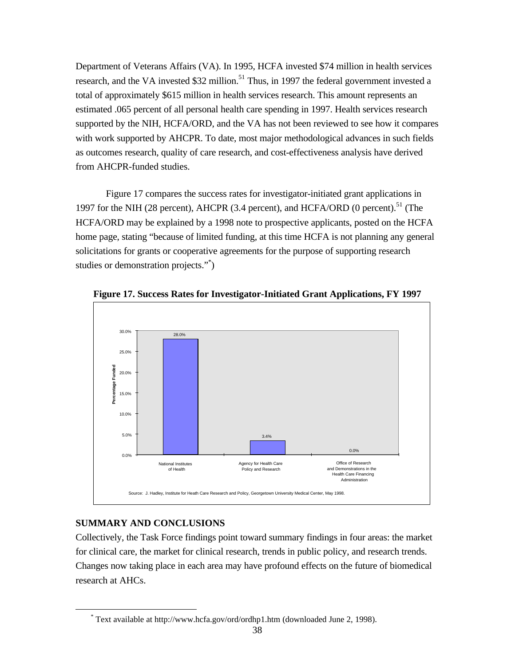Department of Veterans Affairs (VA). In 1995, HCFA invested \$74 million in health services research, and the VA invested \$32 million.<sup>51</sup> Thus, in 1997 the federal government invested a total of approximately \$615 million in health services research. This amount represents an estimated .065 percent of all personal health care spending in 1997. Health services research supported by the NIH, HCFA/ORD, and the VA has not been reviewed to see how it compares with work supported by AHCPR. To date, most major methodological advances in such fields as outcomes research, quality of care research, and cost-effectiveness analysis have derived from AHCPR-funded studies.

Figure 17 compares the success rates for investigator-initiated grant applications in 1997 for the NIH (28 percent), AHCPR (3.4 percent), and HCFA/ORD (0 percent).<sup>51</sup> (The HCFA/ORD may be explained by a 1998 note to prospective applicants, posted on the HCFA home page, stating "because of limited funding, at this time HCFA is not planning any general solicitations for grants or cooperative agreements for the purpose of supporting research studies or demonstration projects."\*)



**Figure 17. Success Rates for Investigator-Initiated Grant Applications, FY 1997**

### **SUMMARY AND CONCLUSIONS**

 $\overline{a}$ 

Collectively, the Task Force findings point toward summary findings in four areas: the market for clinical care, the market for clinical research, trends in public policy, and research trends. Changes now taking place in each area may have profound effects on the future of biomedical research at AHCs.

<sup>\*</sup> Text available at http://www.hcfa.gov/ord/ordhp1.htm (downloaded June 2, 1998).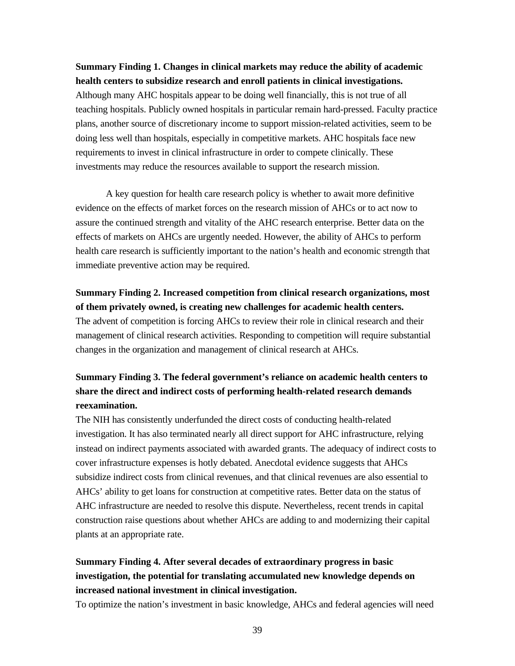### **Summary Finding 1. Changes in clinical markets may reduce the ability of academic health centers to subsidize research and enroll patients in clinical investigations.**

Although many AHC hospitals appear to be doing well financially, this is not true of all teaching hospitals. Publicly owned hospitals in particular remain hard-pressed. Faculty practice plans, another source of discretionary income to support mission-related activities, seem to be doing less well than hospitals, especially in competitive markets. AHC hospitals face new requirements to invest in clinical infrastructure in order to compete clinically. These investments may reduce the resources available to support the research mission.

A key question for health care research policy is whether to await more definitive evidence on the effects of market forces on the research mission of AHCs or to act now to assure the continued strength and vitality of the AHC research enterprise. Better data on the effects of markets on AHCs are urgently needed. However, the ability of AHCs to perform health care research is sufficiently important to the nation's health and economic strength that immediate preventive action may be required.

**Summary Finding 2. Increased competition from clinical research organizations, most of them privately owned, is creating new challenges for academic health centers.** The advent of competition is forcing AHCs to review their role in clinical research and their management of clinical research activities. Responding to competition will require substantial changes in the organization and management of clinical research at AHCs.

# **Summary Finding 3. The federal government's reliance on academic health centers to share the direct and indirect costs of performing health-related research demands reexamination.**

The NIH has consistently underfunded the direct costs of conducting health-related investigation. It has also terminated nearly all direct support for AHC infrastructure, relying instead on indirect payments associated with awarded grants. The adequacy of indirect costs to cover infrastructure expenses is hotly debated. Anecdotal evidence suggests that AHCs subsidize indirect costs from clinical revenues, and that clinical revenues are also essential to AHCs' ability to get loans for construction at competitive rates. Better data on the status of AHC infrastructure are needed to resolve this dispute. Nevertheless, recent trends in capital construction raise questions about whether AHCs are adding to and modernizing their capital plants at an appropriate rate.

## **Summary Finding 4. After several decades of extraordinary progress in basic investigation, the potential for translating accumulated new knowledge depends on increased national investment in clinical investigation.**

To optimize the nation's investment in basic knowledge, AHCs and federal agencies will need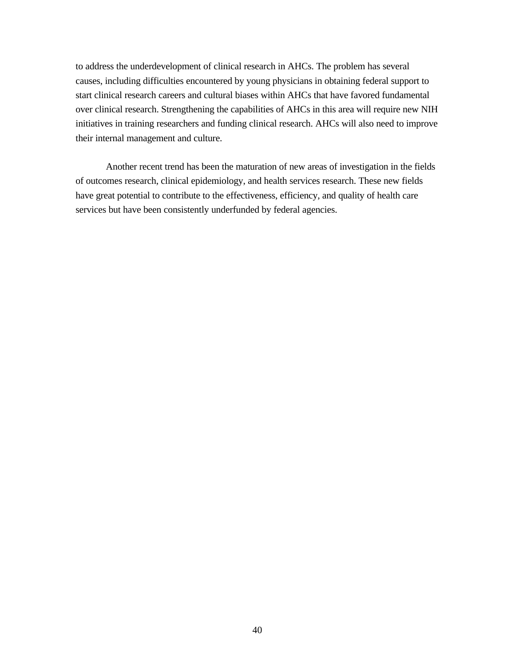to address the underdevelopment of clinical research in AHCs. The problem has several causes, including difficulties encountered by young physicians in obtaining federal support to start clinical research careers and cultural biases within AHCs that have favored fundamental over clinical research. Strengthening the capabilities of AHCs in this area will require new NIH initiatives in training researchers and funding clinical research. AHCs will also need to improve their internal management and culture.

Another recent trend has been the maturation of new areas of investigation in the fields of outcomes research, clinical epidemiology, and health services research. These new fields have great potential to contribute to the effectiveness, efficiency, and quality of health care services but have been consistently underfunded by federal agencies.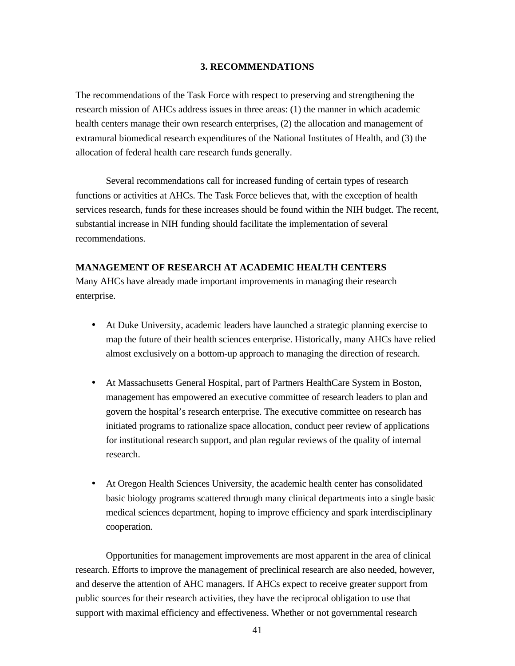#### **3. RECOMMENDATIONS**

The recommendations of the Task Force with respect to preserving and strengthening the research mission of AHCs address issues in three areas: (1) the manner in which academic health centers manage their own research enterprises, (2) the allocation and management of extramural biomedical research expenditures of the National Institutes of Health, and (3) the allocation of federal health care research funds generally.

Several recommendations call for increased funding of certain types of research functions or activities at AHCs. The Task Force believes that, with the exception of health services research, funds for these increases should be found within the NIH budget. The recent, substantial increase in NIH funding should facilitate the implementation of several recommendations.

### **MANAGEMENT OF RESEARCH AT ACADEMIC HEALTH CENTERS**

Many AHCs have already made important improvements in managing their research enterprise.

- At Duke University, academic leaders have launched a strategic planning exercise to map the future of their health sciences enterprise. Historically, many AHCs have relied almost exclusively on a bottom-up approach to managing the direction of research.
- At Massachusetts General Hospital, part of Partners HealthCare System in Boston, management has empowered an executive committee of research leaders to plan and govern the hospital's research enterprise. The executive committee on research has initiated programs to rationalize space allocation, conduct peer review of applications for institutional research support, and plan regular reviews of the quality of internal research.
- At Oregon Health Sciences University, the academic health center has consolidated basic biology programs scattered through many clinical departments into a single basic medical sciences department, hoping to improve efficiency and spark interdisciplinary cooperation.

Opportunities for management improvements are most apparent in the area of clinical research. Efforts to improve the management of preclinical research are also needed, however, and deserve the attention of AHC managers. If AHCs expect to receive greater support from public sources for their research activities, they have the reciprocal obligation to use that support with maximal efficiency and effectiveness. Whether or not governmental research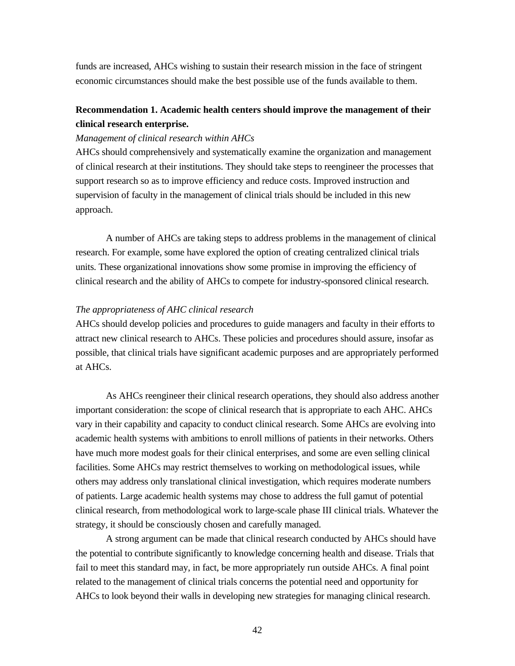funds are increased, AHCs wishing to sustain their research mission in the face of stringent economic circumstances should make the best possible use of the funds available to them.

## **Recommendation 1. Academic health centers should improve the management of their clinical research enterprise.**

#### *Management of clinical research within AHCs*

AHCs should comprehensively and systematically examine the organization and management of clinical research at their institutions. They should take steps to reengineer the processes that support research so as to improve efficiency and reduce costs. Improved instruction and supervision of faculty in the management of clinical trials should be included in this new approach.

A number of AHCs are taking steps to address problems in the management of clinical research. For example, some have explored the option of creating centralized clinical trials units. These organizational innovations show some promise in improving the efficiency of clinical research and the ability of AHCs to compete for industry-sponsored clinical research.

### *The appropriateness of AHC clinical research*

AHCs should develop policies and procedures to guide managers and faculty in their efforts to attract new clinical research to AHCs. These policies and procedures should assure, insofar as possible, that clinical trials have significant academic purposes and are appropriately performed at AHCs.

As AHCs reengineer their clinical research operations, they should also address another important consideration: the scope of clinical research that is appropriate to each AHC. AHCs vary in their capability and capacity to conduct clinical research. Some AHCs are evolving into academic health systems with ambitions to enroll millions of patients in their networks. Others have much more modest goals for their clinical enterprises, and some are even selling clinical facilities. Some AHCs may restrict themselves to working on methodological issues, while others may address only translational clinical investigation, which requires moderate numbers of patients. Large academic health systems may chose to address the full gamut of potential clinical research, from methodological work to large-scale phase III clinical trials. Whatever the strategy, it should be consciously chosen and carefully managed.

A strong argument can be made that clinical research conducted by AHCs should have the potential to contribute significantly to knowledge concerning health and disease. Trials that fail to meet this standard may, in fact, be more appropriately run outside AHCs. A final point related to the management of clinical trials concerns the potential need and opportunity for AHCs to look beyond their walls in developing new strategies for managing clinical research.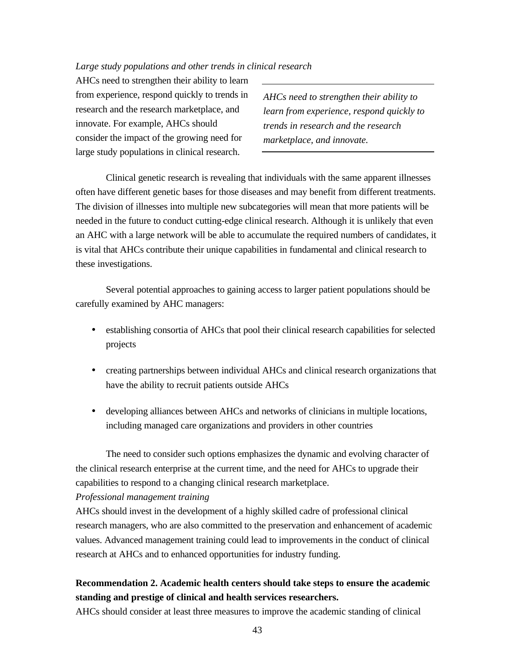#### *Large study populations and other trends in clinical research*

AHCs need to strengthen their ability to learn from experience, respond quickly to trends in research and the research marketplace, and innovate. For example, AHCs should consider the impact of the growing need for large study populations in clinical research.

*AHCs need to strengthen their ability to learn from experience, respond quickly to trends in research and the research marketplace, and innovate.*

Clinical genetic research is revealing that individuals with the same apparent illnesses often have different genetic bases for those diseases and may benefit from different treatments. The division of illnesses into multiple new subcategories will mean that more patients will be needed in the future to conduct cutting-edge clinical research. Although it is unlikely that even an AHC with a large network will be able to accumulate the required numbers of candidates, it is vital that AHCs contribute their unique capabilities in fundamental and clinical research to these investigations.

Several potential approaches to gaining access to larger patient populations should be carefully examined by AHC managers:

- establishing consortia of AHCs that pool their clinical research capabilities for selected projects
- creating partnerships between individual AHCs and clinical research organizations that have the ability to recruit patients outside AHCs
- developing alliances between AHCs and networks of clinicians in multiple locations, including managed care organizations and providers in other countries

The need to consider such options emphasizes the dynamic and evolving character of the clinical research enterprise at the current time, and the need for AHCs to upgrade their capabilities to respond to a changing clinical research marketplace.

#### *Professional management training*

AHCs should invest in the development of a highly skilled cadre of professional clinical research managers, who are also committed to the preservation and enhancement of academic values. Advanced management training could lead to improvements in the conduct of clinical research at AHCs and to enhanced opportunities for industry funding.

### **Recommendation 2. Academic health centers should take steps to ensure the academic standing and prestige of clinical and health services researchers.**

AHCs should consider at least three measures to improve the academic standing of clinical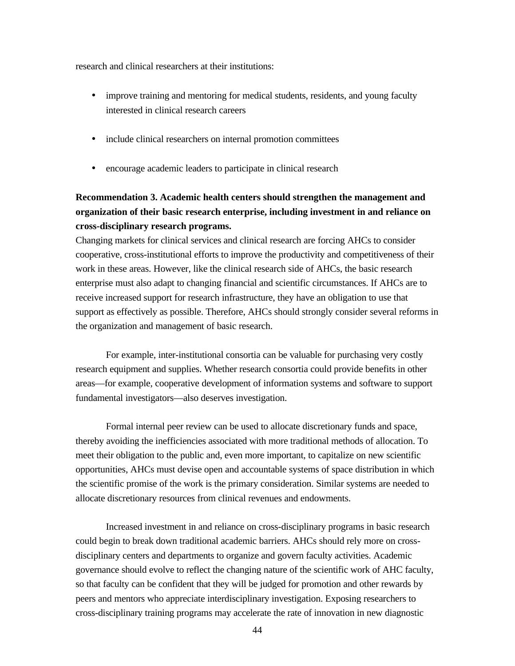research and clinical researchers at their institutions:

- improve training and mentoring for medical students, residents, and young faculty interested in clinical research careers
- include clinical researchers on internal promotion committees
- encourage academic leaders to participate in clinical research

# **Recommendation 3. Academic health centers should strengthen the management and organization of their basic research enterprise, including investment in and reliance on cross-disciplinary research programs.**

Changing markets for clinical services and clinical research are forcing AHCs to consider cooperative, cross-institutional efforts to improve the productivity and competitiveness of their work in these areas. However, like the clinical research side of AHCs, the basic research enterprise must also adapt to changing financial and scientific circumstances. If AHCs are to receive increased support for research infrastructure, they have an obligation to use that support as effectively as possible. Therefore, AHCs should strongly consider several reforms in the organization and management of basic research.

For example, inter-institutional consortia can be valuable for purchasing very costly research equipment and supplies. Whether research consortia could provide benefits in other areas—for example, cooperative development of information systems and software to support fundamental investigators—also deserves investigation.

Formal internal peer review can be used to allocate discretionary funds and space, thereby avoiding the inefficiencies associated with more traditional methods of allocation. To meet their obligation to the public and, even more important, to capitalize on new scientific opportunities, AHCs must devise open and accountable systems of space distribution in which the scientific promise of the work is the primary consideration. Similar systems are needed to allocate discretionary resources from clinical revenues and endowments.

Increased investment in and reliance on cross-disciplinary programs in basic research could begin to break down traditional academic barriers. AHCs should rely more on crossdisciplinary centers and departments to organize and govern faculty activities. Academic governance should evolve to reflect the changing nature of the scientific work of AHC faculty, so that faculty can be confident that they will be judged for promotion and other rewards by peers and mentors who appreciate interdisciplinary investigation. Exposing researchers to cross-disciplinary training programs may accelerate the rate of innovation in new diagnostic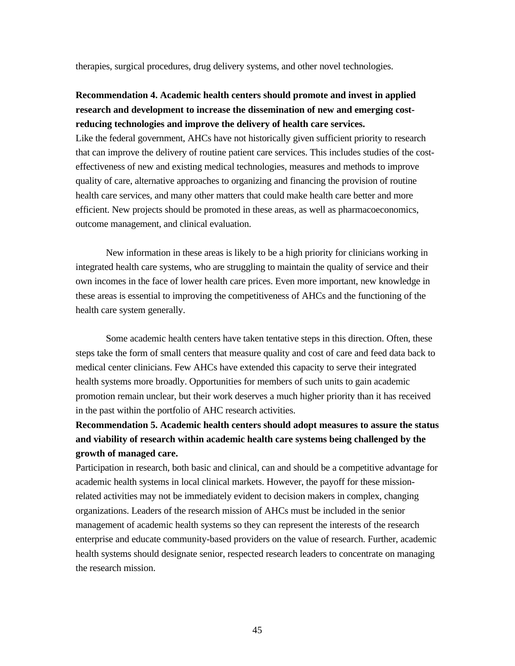therapies, surgical procedures, drug delivery systems, and other novel technologies.

### **Recommendation 4. Academic health centers should promote and invest in applied research and development to increase the dissemination of new and emerging costreducing technologies and improve the delivery of health care services.**

Like the federal government, AHCs have not historically given sufficient priority to research that can improve the delivery of routine patient care services. This includes studies of the costeffectiveness of new and existing medical technologies, measures and methods to improve quality of care, alternative approaches to organizing and financing the provision of routine health care services, and many other matters that could make health care better and more efficient. New projects should be promoted in these areas, as well as pharmacoeconomics, outcome management, and clinical evaluation.

New information in these areas is likely to be a high priority for clinicians working in integrated health care systems, who are struggling to maintain the quality of service and their own incomes in the face of lower health care prices. Even more important, new knowledge in these areas is essential to improving the competitiveness of AHCs and the functioning of the health care system generally.

Some academic health centers have taken tentative steps in this direction. Often, these steps take the form of small centers that measure quality and cost of care and feed data back to medical center clinicians. Few AHCs have extended this capacity to serve their integrated health systems more broadly. Opportunities for members of such units to gain academic promotion remain unclear, but their work deserves a much higher priority than it has received in the past within the portfolio of AHC research activities.

# **Recommendation 5. Academic health centers should adopt measures to assure the status and viability of research within academic health care systems being challenged by the growth of managed care.**

Participation in research, both basic and clinical, can and should be a competitive advantage for academic health systems in local clinical markets. However, the payoff for these missionrelated activities may not be immediately evident to decision makers in complex, changing organizations. Leaders of the research mission of AHCs must be included in the senior management of academic health systems so they can represent the interests of the research enterprise and educate community-based providers on the value of research. Further, academic health systems should designate senior, respected research leaders to concentrate on managing the research mission.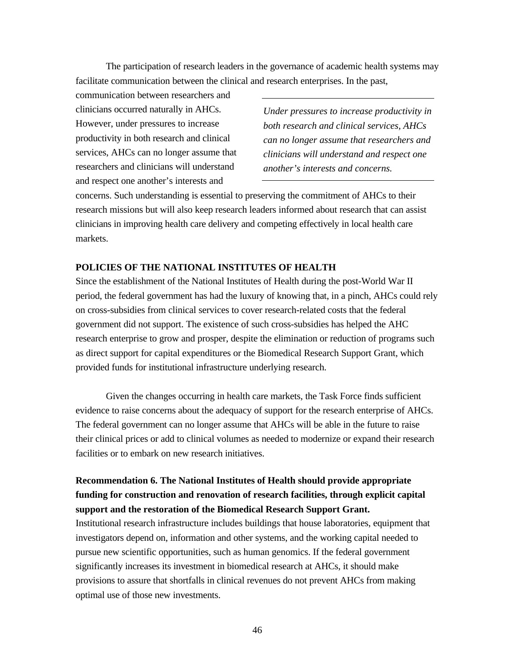The participation of research leaders in the governance of academic health systems may facilitate communication between the clinical and research enterprises. In the past,

communication between researchers and clinicians occurred naturally in AHCs. However, under pressures to increase productivity in both research and clinical services, AHCs can no longer assume that researchers and clinicians will understand and respect one another's interests and

*Under pressures to increase productivity in both research and clinical services, AHCs can no longer assume that researchers and clinicians will understand and respect one another's interests and concerns.*

concerns. Such understanding is essential to preserving the commitment of AHCs to their research missions but will also keep research leaders informed about research that can assist clinicians in improving health care delivery and competing effectively in local health care markets.

### **POLICIES OF THE NATIONAL INSTITUTES OF HEALTH**

Since the establishment of the National Institutes of Health during the post-World War II period, the federal government has had the luxury of knowing that, in a pinch, AHCs could rely on cross-subsidies from clinical services to cover research-related costs that the federal government did not support. The existence of such cross-subsidies has helped the AHC research enterprise to grow and prosper, despite the elimination or reduction of programs such as direct support for capital expenditures or the Biomedical Research Support Grant, which provided funds for institutional infrastructure underlying research.

Given the changes occurring in health care markets, the Task Force finds sufficient evidence to raise concerns about the adequacy of support for the research enterprise of AHCs. The federal government can no longer assume that AHCs will be able in the future to raise their clinical prices or add to clinical volumes as needed to modernize or expand their research facilities or to embark on new research initiatives.

## **Recommendation 6. The National Institutes of Health should provide appropriate funding for construction and renovation of research facilities, through explicit capital support and the restoration of the Biomedical Research Support Grant.**

Institutional research infrastructure includes buildings that house laboratories, equipment that investigators depend on, information and other systems, and the working capital needed to pursue new scientific opportunities, such as human genomics. If the federal government significantly increases its investment in biomedical research at AHCs, it should make provisions to assure that shortfalls in clinical revenues do not prevent AHCs from making optimal use of those new investments.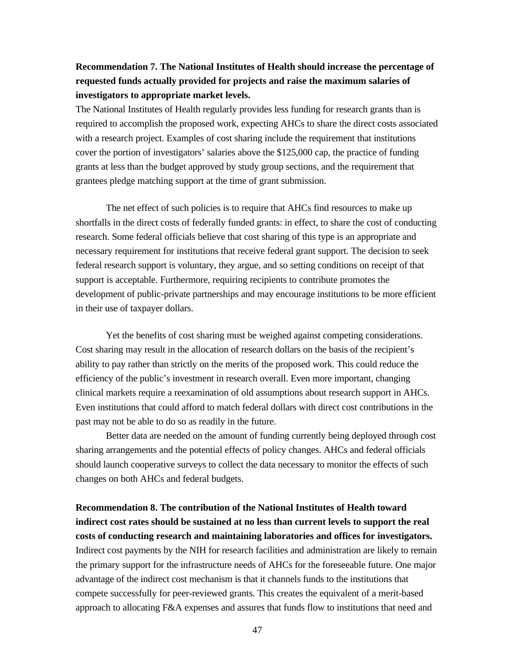## **Recommendation 7. The National Institutes of Health should increase the percentage of requested funds actually provided for projects and raise the maximum salaries of investigators to appropriate market levels.**

The National Institutes of Health regularly provides less funding for research grants than is required to accomplish the proposed work, expecting AHCs to share the direct costs associated with a research project. Examples of cost sharing include the requirement that institutions cover the portion of investigators' salaries above the \$125,000 cap, the practice of funding grants at less than the budget approved by study group sections, and the requirement that grantees pledge matching support at the time of grant submission.

The net effect of such policies is to require that AHCs find resources to make up shortfalls in the direct costs of federally funded grants: in effect, to share the cost of conducting research. Some federal officials believe that cost sharing of this type is an appropriate and necessary requirement for institutions that receive federal grant support. The decision to seek federal research support is voluntary, they argue, and so setting conditions on receipt of that support is acceptable. Furthermore, requiring recipients to contribute promotes the development of public-private partnerships and may encourage institutions to be more efficient in their use of taxpayer dollars.

Yet the benefits of cost sharing must be weighed against competing considerations. Cost sharing may result in the allocation of research dollars on the basis of the recipient's ability to pay rather than strictly on the merits of the proposed work. This could reduce the efficiency of the public's investment in research overall. Even more important, changing clinical markets require a reexamination of old assumptions about research support in AHCs. Even institutions that could afford to match federal dollars with direct cost contributions in the past may not be able to do so as readily in the future.

Better data are needed on the amount of funding currently being deployed through cost sharing arrangements and the potential effects of policy changes. AHCs and federal officials should launch cooperative surveys to collect the data necessary to monitor the effects of such changes on both AHCs and federal budgets.

**Recommendation 8. The contribution of the National Institutes of Health toward indirect cost rates should be sustained at no less than current levels to support the real costs of conducting research and maintaining laboratories and offices for investigators.** Indirect cost payments by the NIH for research facilities and administration are likely to remain the primary support for the infrastructure needs of AHCs for the foreseeable future. One major advantage of the indirect cost mechanism is that it channels funds to the institutions that compete successfully for peer-reviewed grants. This creates the equivalent of a merit-based approach to allocating F&A expenses and assures that funds flow to institutions that need and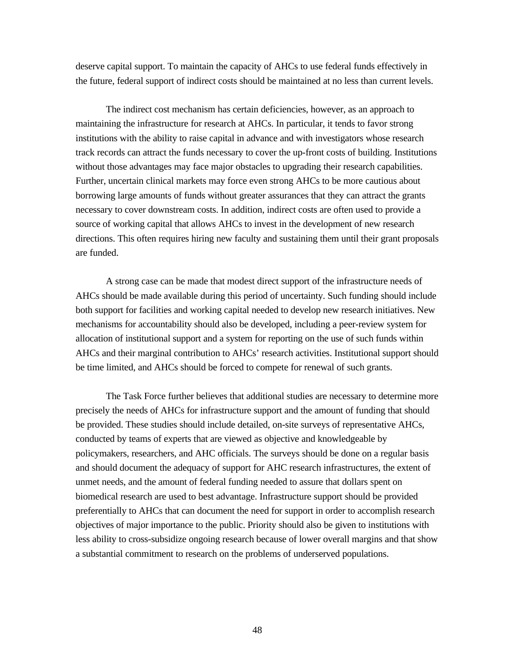deserve capital support. To maintain the capacity of AHCs to use federal funds effectively in the future, federal support of indirect costs should be maintained at no less than current levels.

The indirect cost mechanism has certain deficiencies, however, as an approach to maintaining the infrastructure for research at AHCs. In particular, it tends to favor strong institutions with the ability to raise capital in advance and with investigators whose research track records can attract the funds necessary to cover the up-front costs of building. Institutions without those advantages may face major obstacles to upgrading their research capabilities. Further, uncertain clinical markets may force even strong AHCs to be more cautious about borrowing large amounts of funds without greater assurances that they can attract the grants necessary to cover downstream costs. In addition, indirect costs are often used to provide a source of working capital that allows AHCs to invest in the development of new research directions. This often requires hiring new faculty and sustaining them until their grant proposals are funded.

A strong case can be made that modest direct support of the infrastructure needs of AHCs should be made available during this period of uncertainty. Such funding should include both support for facilities and working capital needed to develop new research initiatives. New mechanisms for accountability should also be developed, including a peer-review system for allocation of institutional support and a system for reporting on the use of such funds within AHCs and their marginal contribution to AHCs' research activities. Institutional support should be time limited, and AHCs should be forced to compete for renewal of such grants.

The Task Force further believes that additional studies are necessary to determine more precisely the needs of AHCs for infrastructure support and the amount of funding that should be provided. These studies should include detailed, on-site surveys of representative AHCs, conducted by teams of experts that are viewed as objective and knowledgeable by policymakers, researchers, and AHC officials. The surveys should be done on a regular basis and should document the adequacy of support for AHC research infrastructures, the extent of unmet needs, and the amount of federal funding needed to assure that dollars spent on biomedical research are used to best advantage. Infrastructure support should be provided preferentially to AHCs that can document the need for support in order to accomplish research objectives of major importance to the public. Priority should also be given to institutions with less ability to cross-subsidize ongoing research because of lower overall margins and that show a substantial commitment to research on the problems of underserved populations.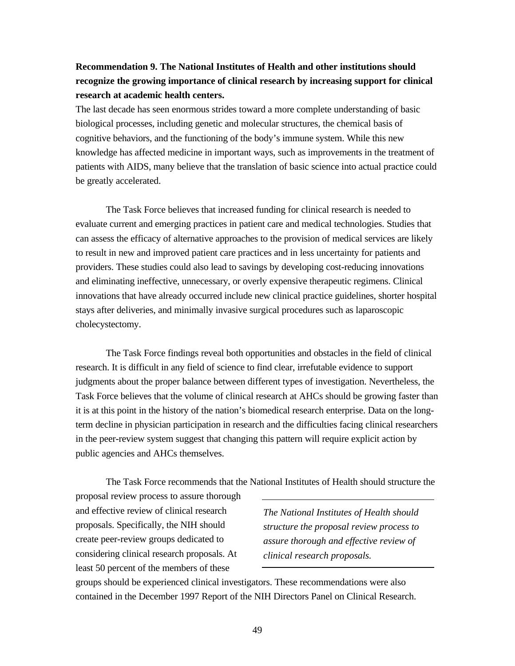## **Recommendation 9. The National Institutes of Health and other institutions should recognize the growing importance of clinical research by increasing support for clinical research at academic health centers.**

The last decade has seen enormous strides toward a more complete understanding of basic biological processes, including genetic and molecular structures, the chemical basis of cognitive behaviors, and the functioning of the body's immune system. While this new knowledge has affected medicine in important ways, such as improvements in the treatment of patients with AIDS, many believe that the translation of basic science into actual practice could be greatly accelerated.

The Task Force believes that increased funding for clinical research is needed to evaluate current and emerging practices in patient care and medical technologies. Studies that can assess the efficacy of alternative approaches to the provision of medical services are likely to result in new and improved patient care practices and in less uncertainty for patients and providers. These studies could also lead to savings by developing cost-reducing innovations and eliminating ineffective, unnecessary, or overly expensive therapeutic regimens. Clinical innovations that have already occurred include new clinical practice guidelines, shorter hospital stays after deliveries, and minimally invasive surgical procedures such as laparoscopic cholecystectomy.

The Task Force findings reveal both opportunities and obstacles in the field of clinical research. It is difficult in any field of science to find clear, irrefutable evidence to support judgments about the proper balance between different types of investigation. Nevertheless, the Task Force believes that the volume of clinical research at AHCs should be growing faster than it is at this point in the history of the nation's biomedical research enterprise. Data on the longterm decline in physician participation in research and the difficulties facing clinical researchers in the peer-review system suggest that changing this pattern will require explicit action by public agencies and AHCs themselves.

The Task Force recommends that the National Institutes of Health should structure the proposal review process to assure thorough

and effective review of clinical research proposals. Specifically, the NIH should create peer-review groups dedicated to considering clinical research proposals. At least 50 percent of the members of these

*The National Institutes of Health should structure the proposal review process to assure thorough and effective review of clinical research proposals.*

groups should be experienced clinical investigators. These recommendations were also contained in the December 1997 Report of the NIH Directors Panel on Clinical Research.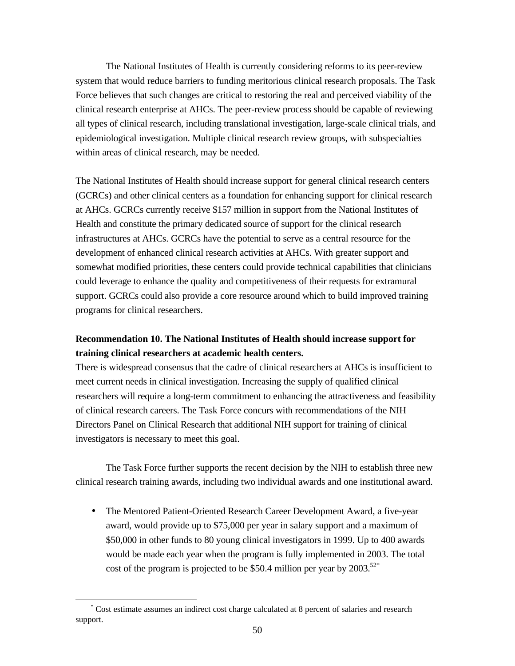The National Institutes of Health is currently considering reforms to its peer-review system that would reduce barriers to funding meritorious clinical research proposals. The Task Force believes that such changes are critical to restoring the real and perceived viability of the clinical research enterprise at AHCs. The peer-review process should be capable of reviewing all types of clinical research, including translational investigation, large-scale clinical trials, and epidemiological investigation. Multiple clinical research review groups, with subspecialties within areas of clinical research, may be needed.

The National Institutes of Health should increase support for general clinical research centers (GCRCs) and other clinical centers as a foundation for enhancing support for clinical research at AHCs. GCRCs currently receive \$157 million in support from the National Institutes of Health and constitute the primary dedicated source of support for the clinical research infrastructures at AHCs. GCRCs have the potential to serve as a central resource for the development of enhanced clinical research activities at AHCs. With greater support and somewhat modified priorities, these centers could provide technical capabilities that clinicians could leverage to enhance the quality and competitiveness of their requests for extramural support. GCRCs could also provide a core resource around which to build improved training programs for clinical researchers.

## **Recommendation 10. The National Institutes of Health should increase support for training clinical researchers at academic health centers.**

There is widespread consensus that the cadre of clinical researchers at AHCs is insufficient to meet current needs in clinical investigation. Increasing the supply of qualified clinical researchers will require a long-term commitment to enhancing the attractiveness and feasibility of clinical research careers. The Task Force concurs with recommendations of the NIH Directors Panel on Clinical Research that additional NIH support for training of clinical investigators is necessary to meet this goal.

The Task Force further supports the recent decision by the NIH to establish three new clinical research training awards, including two individual awards and one institutional award.

• The Mentored Patient-Oriented Research Career Development Award, a five-year award, would provide up to \$75,000 per year in salary support and a maximum of \$50,000 in other funds to 80 young clinical investigators in 1999. Up to 400 awards would be made each year when the program is fully implemented in 2003. The total cost of the program is projected to be \$50.4 million per year by  $2003$ .<sup>52\*</sup>

<u>.</u>

<sup>\*</sup> Cost estimate assumes an indirect cost charge calculated at 8 percent of salaries and research support.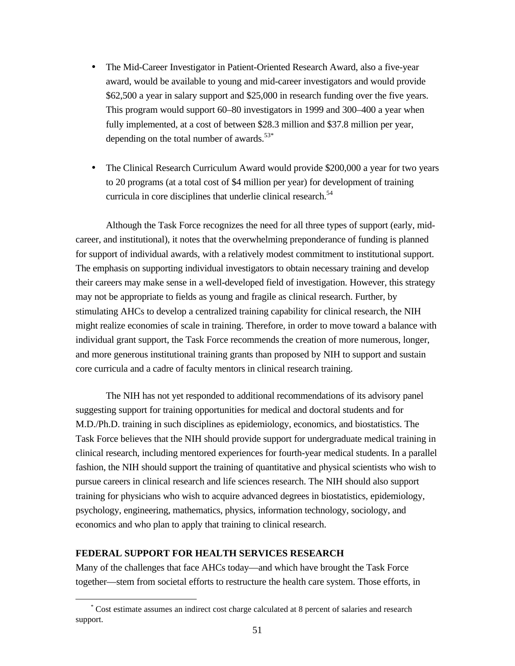- The Mid-Career Investigator in Patient-Oriented Research Award, also a five-year award, would be available to young and mid-career investigators and would provide \$62,500 a year in salary support and \$25,000 in research funding over the five years. This program would support 60–80 investigators in 1999 and 300–400 a year when fully implemented, at a cost of between \$28.3 million and \$37.8 million per year, depending on the total number of awards. $53*$
- The Clinical Research Curriculum Award would provide \$200,000 a year for two years to 20 programs (at a total cost of \$4 million per year) for development of training curricula in core disciplines that underlie clinical research.<sup>54</sup>

Although the Task Force recognizes the need for all three types of support (early, midcareer, and institutional), it notes that the overwhelming preponderance of funding is planned for support of individual awards, with a relatively modest commitment to institutional support. The emphasis on supporting individual investigators to obtain necessary training and develop their careers may make sense in a well-developed field of investigation. However, this strategy may not be appropriate to fields as young and fragile as clinical research. Further, by stimulating AHCs to develop a centralized training capability for clinical research, the NIH might realize economies of scale in training. Therefore, in order to move toward a balance with individual grant support, the Task Force recommends the creation of more numerous, longer, and more generous institutional training grants than proposed by NIH to support and sustain core curricula and a cadre of faculty mentors in clinical research training.

The NIH has not yet responded to additional recommendations of its advisory panel suggesting support for training opportunities for medical and doctoral students and for M.D./Ph.D. training in such disciplines as epidemiology, economics, and biostatistics. The Task Force believes that the NIH should provide support for undergraduate medical training in clinical research, including mentored experiences for fourth-year medical students. In a parallel fashion, the NIH should support the training of quantitative and physical scientists who wish to pursue careers in clinical research and life sciences research. The NIH should also support training for physicians who wish to acquire advanced degrees in biostatistics, epidemiology, psychology, engineering, mathematics, physics, information technology, sociology, and economics and who plan to apply that training to clinical research.

### **FEDERAL SUPPORT FOR HEALTH SERVICES RESEARCH**

 $\overline{a}$ 

Many of the challenges that face AHCs today—and which have brought the Task Force together—stem from societal efforts to restructure the health care system. Those efforts, in

<sup>\*</sup> Cost estimate assumes an indirect cost charge calculated at 8 percent of salaries and research support.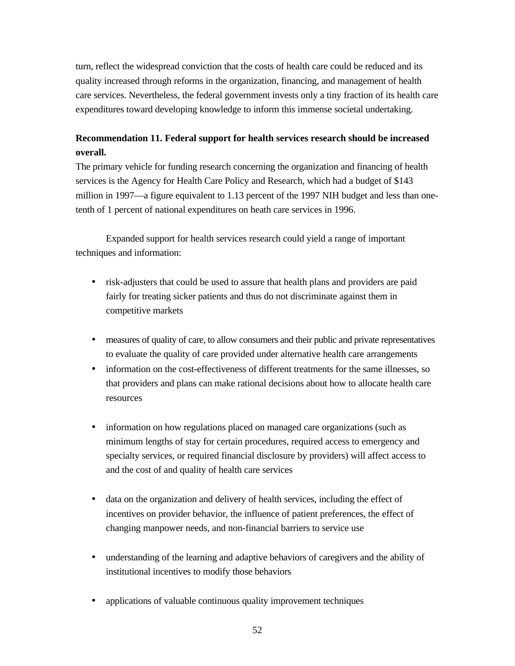turn, reflect the widespread conviction that the costs of health care could be reduced and its quality increased through reforms in the organization, financing, and management of health care services. Nevertheless, the federal government invests only a tiny fraction of its health care expenditures toward developing knowledge to inform this immense societal undertaking.

# **Recommendation 11. Federal support for health services research should be increased overall.**

The primary vehicle for funding research concerning the organization and financing of health services is the Agency for Health Care Policy and Research, which had a budget of \$143 million in 1997—a figure equivalent to 1.13 percent of the 1997 NIH budget and less than onetenth of 1 percent of national expenditures on heath care services in 1996.

Expanded support for health services research could yield a range of important techniques and information:

- risk-adjusters that could be used to assure that health plans and providers are paid fairly for treating sicker patients and thus do not discriminate against them in competitive markets
- measures of quality of care, to allow consumers and their public and private representatives to evaluate the quality of care provided under alternative health care arrangements
- information on the cost-effectiveness of different treatments for the same illnesses, so that providers and plans can make rational decisions about how to allocate health care resources
- information on how regulations placed on managed care organizations (such as minimum lengths of stay for certain procedures, required access to emergency and specialty services, or required financial disclosure by providers) will affect access to and the cost of and quality of health care services
- data on the organization and delivery of health services, including the effect of incentives on provider behavior, the influence of patient preferences, the effect of changing manpower needs, and non-financial barriers to service use
- understanding of the learning and adaptive behaviors of caregivers and the ability of institutional incentives to modify those behaviors
- applications of valuable continuous quality improvement techniques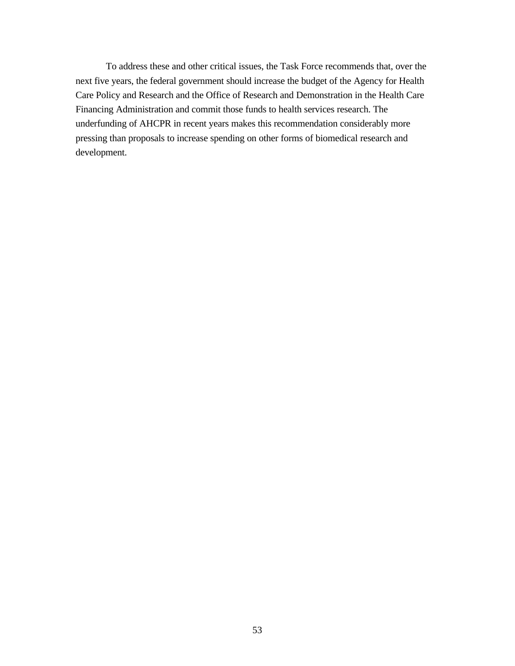To address these and other critical issues, the Task Force recommends that, over the next five years, the federal government should increase the budget of the Agency for Health Care Policy and Research and the Office of Research and Demonstration in the Health Care Financing Administration and commit those funds to health services research. The underfunding of AHCPR in recent years makes this recommendation considerably more pressing than proposals to increase spending on other forms of biomedical research and development.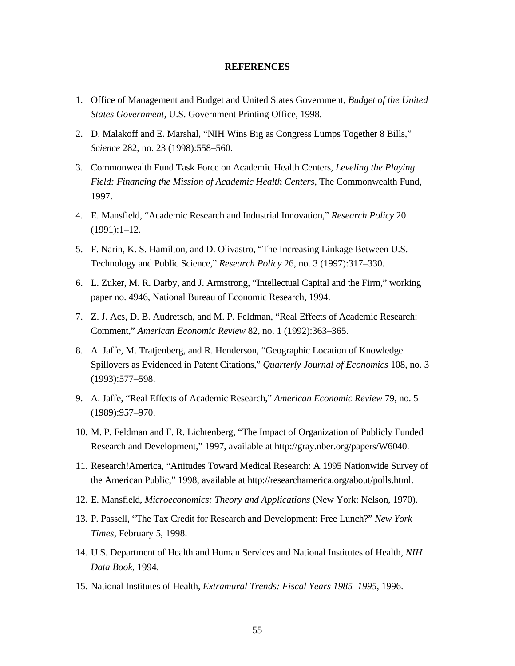#### **REFERENCES**

- 1. Office of Management and Budget and United States Government, *Budget of the United States Government,* U.S. Government Printing Office, 1998.
- 2. D. Malakoff and E. Marshal, "NIH Wins Big as Congress Lumps Together 8 Bills," *Science* 282, no. 23 (1998):558–560.
- 3. Commonwealth Fund Task Force on Academic Health Centers, *Leveling the Playing Field: Financing the Mission of Academic Health Centers,* The Commonwealth Fund, 1997.
- 4. E. Mansfield, "Academic Research and Industrial Innovation," *Research Policy* 20 (1991):1–12.
- 5. F. Narin, K. S. Hamilton, and D. Olivastro, "The Increasing Linkage Between U.S. Technology and Public Science," *Research Policy* 26, no. 3 (1997):317–330.
- 6. L. Zuker, M. R. Darby, and J. Armstrong, "Intellectual Capital and the Firm," working paper no. 4946, National Bureau of Economic Research, 1994.
- 7. Z. J. Acs, D. B. Audretsch, and M. P. Feldman, "Real Effects of Academic Research: Comment," *American Economic Review* 82, no. 1 (1992):363–365.
- 8. A. Jaffe, M. Tratjenberg, and R. Henderson, "Geographic Location of Knowledge Spillovers as Evidenced in Patent Citations," *Quarterly Journal of Economics* 108, no. 3 (1993):577–598.
- 9. A. Jaffe, "Real Effects of Academic Research," *American Economic Review* 79, no. 5 (1989):957–970.
- 10. M. P. Feldman and F. R. Lichtenberg, "The Impact of Organization of Publicly Funded Research and Development," 1997, available at http://gray.nber.org/papers/W6040.
- 11. Research!America, "Attitudes Toward Medical Research: A 1995 Nationwide Survey of the American Public," 1998, available at http://researchamerica.org/about/polls.html.
- 12. E. Mansfield, *Microeconomics: Theory and Applications* (New York: Nelson, 1970).
- 13. P. Passell, "The Tax Credit for Research and Development: Free Lunch?" *New York Times*, February 5, 1998.
- 14. U.S. Department of Health and Human Services and National Institutes of Health, *NIH Data Book,* 1994.
- 15. National Institutes of Health, *Extramural Trends: Fiscal Years 1985–1995,* 1996.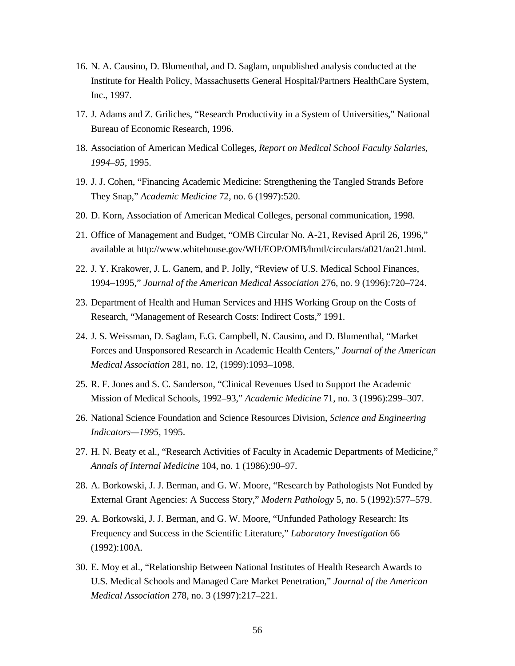- 16. N. A. Causino, D. Blumenthal, and D. Saglam, unpublished analysis conducted at the Institute for Health Policy, Massachusetts General Hospital/Partners HealthCare System, Inc., 1997.
- 17. J. Adams and Z. Griliches, "Research Productivity in a System of Universities," National Bureau of Economic Research, 1996.
- 18. Association of American Medical Colleges, *Report on Medical School Faculty Salaries, 1994–95,* 1995.
- 19. J. J. Cohen, "Financing Academic Medicine: Strengthening the Tangled Strands Before They Snap," *Academic Medicine* 72, no. 6 (1997):520.
- 20. D. Korn, Association of American Medical Colleges, personal communication, 1998.
- 21. Office of Management and Budget, "OMB Circular No. A-21, Revised April 26, 1996," available at http://www.whitehouse.gov/WH/EOP/OMB/hmtl/circulars/a021/ao21.html.
- 22. J. Y. Krakower, J. L. Ganem, and P. Jolly, "Review of U.S. Medical School Finances, 1994–1995," *Journal of the American Medical Association* 276, no. 9 (1996):720–724.
- 23. Department of Health and Human Services and HHS Working Group on the Costs of Research, "Management of Research Costs: Indirect Costs," 1991.
- 24. J. S. Weissman, D. Saglam, E.G. Campbell, N. Causino, and D. Blumenthal, "Market Forces and Unsponsored Research in Academic Health Centers," *Journal of the American Medical Association* 281, no. 12, (1999):1093–1098.
- 25. R. F. Jones and S. C. Sanderson, "Clinical Revenues Used to Support the Academic Mission of Medical Schools, 1992–93," *Academic Medicine* 71, no. 3 (1996):299–307.
- 26. National Science Foundation and Science Resources Division, *Science and Engineering Indicators—1995*, 1995.
- 27. H. N. Beaty et al., "Research Activities of Faculty in Academic Departments of Medicine," *Annals of Internal Medicine* 104, no. 1 (1986):90–97.
- 28. A. Borkowski, J. J. Berman, and G. W. Moore, "Research by Pathologists Not Funded by External Grant Agencies: A Success Story," *Modern Pathology* 5, no. 5 (1992):577–579.
- 29. A. Borkowski, J. J. Berman, and G. W. Moore, "Unfunded Pathology Research: Its Frequency and Success in the Scientific Literature," *Laboratory Investigation* 66 (1992):100A.
- 30. E. Moy et al., "Relationship Between National Institutes of Health Research Awards to U.S. Medical Schools and Managed Care Market Penetration," *Journal of the American Medical Association* 278, no. 3 (1997):217–221.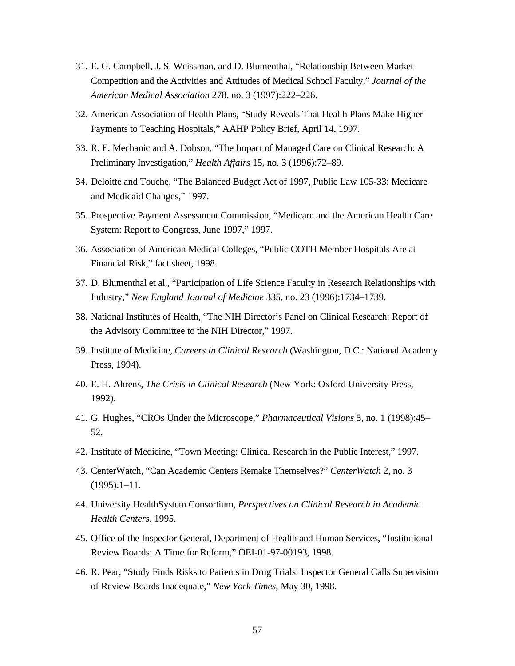- 31. E. G. Campbell, J. S. Weissman, and D. Blumenthal, "Relationship Between Market Competition and the Activities and Attitudes of Medical School Faculty," *Journal of the American Medical Association* 278, no. 3 (1997):222–226.
- 32. American Association of Health Plans, "Study Reveals That Health Plans Make Higher Payments to Teaching Hospitals," AAHP Policy Brief, April 14, 1997.
- 33. R. E. Mechanic and A. Dobson, "The Impact of Managed Care on Clinical Research: A Preliminary Investigation," *Health Affairs* 15, no. 3 (1996):72–89.
- 34. Deloitte and Touche, "The Balanced Budget Act of 1997, Public Law 105-33: Medicare and Medicaid Changes," 1997.
- 35. Prospective Payment Assessment Commission, "Medicare and the American Health Care System: Report to Congress, June 1997," 1997.
- 36. Association of American Medical Colleges, "Public COTH Member Hospitals Are at Financial Risk," fact sheet, 1998.
- 37. D. Blumenthal et al., "Participation of Life Science Faculty in Research Relationships with Industry," *New England Journal of Medicine* 335, no. 23 (1996):1734–1739.
- 38. National Institutes of Health, "The NIH Director's Panel on Clinical Research: Report of the Advisory Committee to the NIH Director," 1997.
- 39. Institute of Medicine, *Careers in Clinical Research* (Washington, D.C.: National Academy Press, 1994).
- 40. E. H. Ahrens, *The Crisis in Clinical Research* (New York: Oxford University Press, 1992).
- 41. G. Hughes, "CROs Under the Microscope," *Pharmaceutical Visions* 5, no. 1 (1998):45– 52.
- 42. Institute of Medicine, "Town Meeting: Clinical Research in the Public Interest," 1997.
- 43. CenterWatch, "Can Academic Centers Remake Themselves?" *CenterWatch* 2, no. 3 (1995):1–11.
- 44. University HealthSystem Consortium, *Perspectives on Clinical Research in Academic Health Centers*, 1995.
- 45. Office of the Inspector General, Department of Health and Human Services, "Institutional Review Boards: A Time for Reform," OEI-01-97-00193, 1998.
- 46. R. Pear, "Study Finds Risks to Patients in Drug Trials: Inspector General Calls Supervision of Review Boards Inadequate," *New York Times,* May 30, 1998.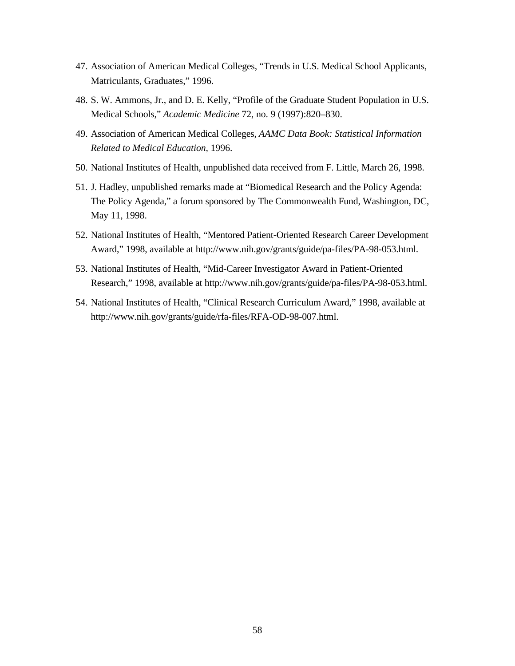- 47. Association of American Medical Colleges, "Trends in U.S. Medical School Applicants, Matriculants, Graduates," 1996.
- 48. S. W. Ammons, Jr., and D. E. Kelly, "Profile of the Graduate Student Population in U.S. Medical Schools," *Academic Medicine* 72, no. 9 (1997):820–830.
- 49. Association of American Medical Colleges, *AAMC Data Book: Statistical Information Related to Medical Education,* 1996.
- 50. National Institutes of Health, unpublished data received from F. Little, March 26, 1998.
- 51. J. Hadley, unpublished remarks made at "Biomedical Research and the Policy Agenda: The Policy Agenda," a forum sponsored by The Commonwealth Fund, Washington, DC, May 11, 1998.
- 52. National Institutes of Health, "Mentored Patient-Oriented Research Career Development Award," 1998, available at http://www.nih.gov/grants/guide/pa-files/PA-98-053.html.
- 53. National Institutes of Health, "Mid-Career Investigator Award in Patient-Oriented Research," 1998, available at http://www.nih.gov/grants/guide/pa-files/PA-98-053.html.
- 54. National Institutes of Health, "Clinical Research Curriculum Award," 1998, available at http://www.nih.gov/grants/guide/rfa-files/RFA-OD-98-007.html.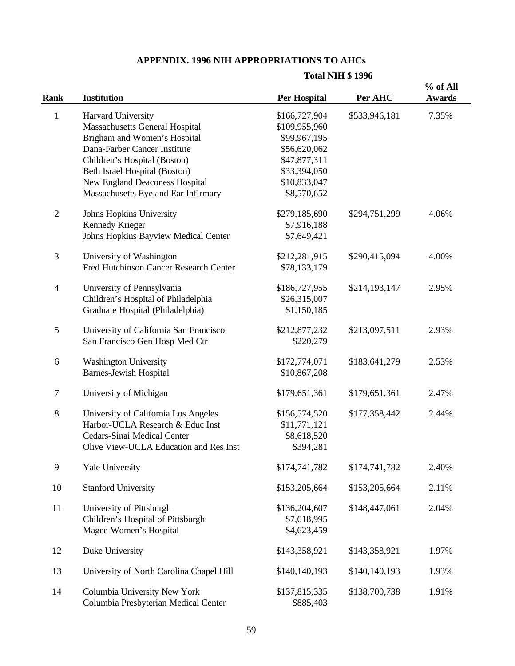# **APPENDIX. 1996 NIH APPROPRIATIONS TO AHCs**

### **Total NIH \$ 1996**

| Rank           | <b>Institution</b>                       | <b>Per Hospital</b> | Per AHC       | % of All<br><b>Awards</b> |
|----------------|------------------------------------------|---------------------|---------------|---------------------------|
| $\mathbf{1}$   | Harvard University                       | \$166,727,904       | \$533,946,181 | 7.35%                     |
|                | <b>Massachusetts General Hospital</b>    | \$109,955,960       |               |                           |
|                | Brigham and Women's Hospital             | \$99,967,195        |               |                           |
|                | Dana-Farber Cancer Institute             | \$56,620,062        |               |                           |
|                | Children's Hospital (Boston)             | \$47,877,311        |               |                           |
|                | Beth Israel Hospital (Boston)            | \$33,394,050        |               |                           |
|                | <b>New England Deaconess Hospital</b>    | \$10,833,047        |               |                           |
|                | Massachusetts Eye and Ear Infirmary      | \$8,570,652         |               |                           |
| $\mathfrak{2}$ | Johns Hopkins University                 | \$279,185,690       | \$294,751,299 | 4.06%                     |
|                | Kennedy Krieger                          | \$7,916,188         |               |                           |
|                | Johns Hopkins Bayview Medical Center     | \$7,649,421         |               |                           |
| $\mathfrak{Z}$ | University of Washington                 | \$212,281,915       | \$290,415,094 | 4.00%                     |
|                | Fred Hutchinson Cancer Research Center   | \$78,133,179        |               |                           |
| $\overline{4}$ | University of Pennsylvania               | \$186,727,955       | \$214,193,147 | 2.95%                     |
|                | Children's Hospital of Philadelphia      | \$26,315,007        |               |                           |
|                | Graduate Hospital (Philadelphia)         | \$1,150,185         |               |                           |
| 5              | University of California San Francisco   | \$212,877,232       | \$213,097,511 | 2.93%                     |
|                | San Francisco Gen Hosp Med Ctr           | \$220,279           |               |                           |
| 6              | <b>Washington University</b>             | \$172,774,071       | \$183,641,279 | 2.53%                     |
|                | <b>Barnes-Jewish Hospital</b>            | \$10,867,208        |               |                           |
| $\tau$         | University of Michigan                   | \$179,651,361       | \$179,651,361 | 2.47%                     |
| $\,8\,$        | University of California Los Angeles     | \$156,574,520       | \$177,358,442 | 2.44%                     |
|                | Harbor-UCLA Research & Educ Inst         | \$11,771,121        |               |                           |
|                | Cedars-Sinai Medical Center              | \$8,618,520         |               |                           |
|                | Olive View-UCLA Education and Res Inst   | \$394,281           |               |                           |
| 9              | <b>Yale University</b>                   | \$174,741,782       | \$174,741,782 | 2.40%                     |
| 10             | <b>Stanford University</b>               | \$153,205,664       | \$153,205,664 | 2.11%                     |
| 11             | University of Pittsburgh                 | \$136,204,607       | \$148,447,061 | 2.04%                     |
|                | Children's Hospital of Pittsburgh        | \$7,618,995         |               |                           |
|                | Magee-Women's Hospital                   | \$4,623,459         |               |                           |
| 12             | Duke University                          | \$143,358,921       | \$143,358,921 | 1.97%                     |
| 13             | University of North Carolina Chapel Hill | \$140,140,193       | \$140,140,193 | 1.93%                     |
| 14             | Columbia University New York             | \$137,815,335       | \$138,700,738 | 1.91%                     |
|                | Columbia Presbyterian Medical Center     | \$885,403           |               |                           |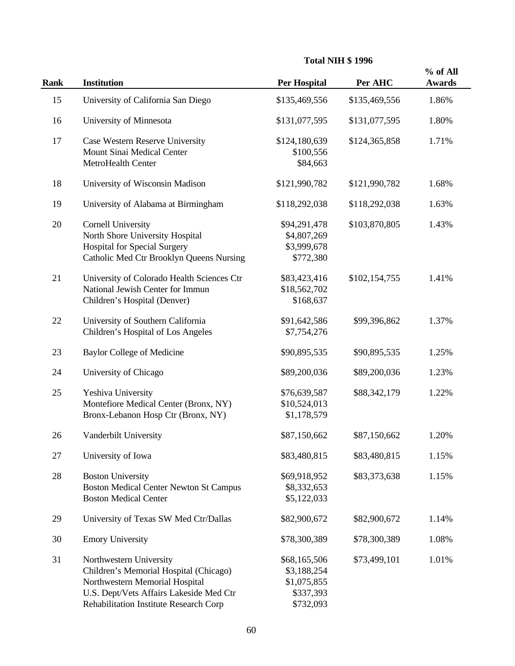|             |                                                               |                            |               | % of All      |
|-------------|---------------------------------------------------------------|----------------------------|---------------|---------------|
| <b>Rank</b> | <b>Institution</b>                                            | <b>Per Hospital</b>        | Per AHC       | <b>Awards</b> |
| 15          | University of California San Diego                            | \$135,469,556              | \$135,469,556 | 1.86%         |
| 16          | University of Minnesota                                       | \$131,077,595              | \$131,077,595 | 1.80%         |
| 17          | Case Western Reserve University<br>Mount Sinai Medical Center | \$124,180,639<br>\$100,556 | \$124,365,858 | 1.71%         |
|             | MetroHealth Center                                            | \$84,663                   |               |               |
| 18          | University of Wisconsin Madison                               | \$121,990,782              | \$121,990,782 | 1.68%         |
| 19          | University of Alabama at Birmingham                           | \$118,292,038              | \$118,292,038 | 1.63%         |
| 20          | <b>Cornell University</b>                                     | \$94,291,478               | \$103,870,805 | 1.43%         |
|             | North Shore University Hospital                               | \$4,807,269                |               |               |
|             | <b>Hospital for Special Surgery</b>                           | \$3,999,678                |               |               |
|             | Catholic Med Ctr Brooklyn Queens Nursing                      | \$772,380                  |               |               |
| 21          | University of Colorado Health Sciences Ctr                    | \$83,423,416               | \$102,154,755 | 1.41%         |
|             | National Jewish Center for Immun                              | \$18,562,702               |               |               |
|             | Children's Hospital (Denver)                                  | \$168,637                  |               |               |
| 22          | University of Southern California                             | \$91,642,586               | \$99,396,862  | 1.37%         |
|             | Children's Hospital of Los Angeles                            | \$7,754,276                |               |               |
| 23          | <b>Baylor College of Medicine</b>                             | \$90,895,535               | \$90,895,535  | 1.25%         |
| 24          | University of Chicago                                         | \$89,200,036               | \$89,200,036  | 1.23%         |
| 25          | Yeshiva University                                            | \$76,639,587               | \$88,342,179  | 1.22%         |
|             | Montefiore Medical Center (Bronx, NY)                         | \$10,524,013               |               |               |
|             | Bronx-Lebanon Hosp Ctr (Bronx, NY)                            | \$1,178,579                |               |               |
| 26          | Vanderbilt University                                         | \$87,150,662               | \$87,150,662  | 1.20%         |
| 27          | University of Iowa                                            | \$83,480,815               | \$83,480,815  | 1.15%         |
| 28          | <b>Boston University</b>                                      | \$69,918,952               | \$83,373,638  | 1.15%         |
|             | <b>Boston Medical Center Newton St Campus</b>                 | \$8,332,653                |               |               |
|             | <b>Boston Medical Center</b>                                  | \$5,122,033                |               |               |
| 29          | University of Texas SW Med Ctr/Dallas                         | \$82,900,672               | \$82,900,672  | 1.14%         |
| 30          | <b>Emory University</b>                                       | \$78,300,389               | \$78,300,389  | 1.08%         |
| 31          | Northwestern University                                       | \$68,165,506               | \$73,499,101  | 1.01%         |
|             | Children's Memorial Hospital (Chicago)                        | \$3,188,254                |               |               |
|             | Northwestern Memorial Hospital                                | \$1,075,855                |               |               |
|             | U.S. Dept/Vets Affairs Lakeside Med Ctr                       | \$337,393                  |               |               |
|             | Rehabilitation Institute Research Corp                        | \$732,093                  |               |               |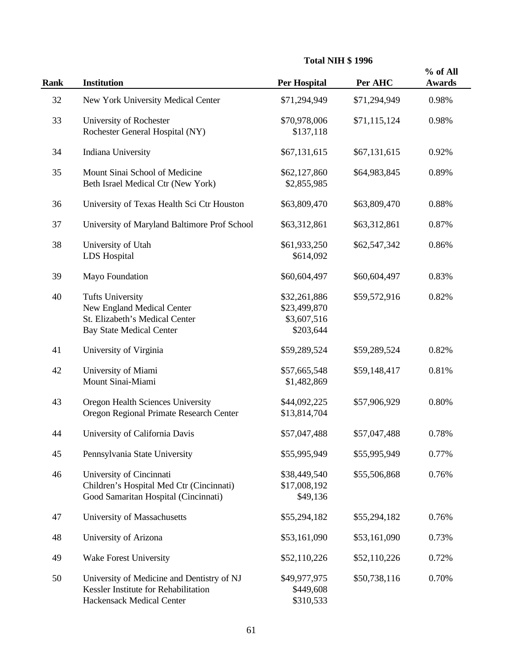|             |                                                                                                                            | <b>Total NIH \$1996</b>                                  |              |                           |
|-------------|----------------------------------------------------------------------------------------------------------------------------|----------------------------------------------------------|--------------|---------------------------|
| <b>Rank</b> | <b>Institution</b>                                                                                                         | <b>Per Hospital</b>                                      | Per AHC      | % of All<br><b>Awards</b> |
| 32          | New York University Medical Center                                                                                         | \$71,294,949                                             | \$71,294,949 | 0.98%                     |
| 33          | University of Rochester<br>Rochester General Hospital (NY)                                                                 | \$70,978,006<br>\$137,118                                | \$71,115,124 | 0.98%                     |
| 34          | Indiana University                                                                                                         | \$67,131,615                                             | \$67,131,615 | 0.92%                     |
| 35          | Mount Sinai School of Medicine<br>Beth Israel Medical Ctr (New York)                                                       | \$62,127,860<br>\$2,855,985                              | \$64,983,845 | 0.89%                     |
| 36          | University of Texas Health Sci Ctr Houston                                                                                 | \$63,809,470                                             | \$63,809,470 | 0.88%                     |
| 37          | University of Maryland Baltimore Prof School                                                                               | \$63,312,861                                             | \$63,312,861 | 0.87%                     |
| 38          | University of Utah<br>LDS Hospital                                                                                         | \$61,933,250<br>\$614,092                                | \$62,547,342 | 0.86%                     |
| 39          | Mayo Foundation                                                                                                            | \$60,604,497                                             | \$60,604,497 | 0.83%                     |
| 40          | <b>Tufts University</b><br>New England Medical Center<br>St. Elizabeth's Medical Center<br><b>Bay State Medical Center</b> | \$32,261,886<br>\$23,499,870<br>\$3,607,516<br>\$203,644 | \$59,572,916 | 0.82%                     |
| 41          | University of Virginia                                                                                                     | \$59,289,524                                             | \$59,289,524 | 0.82%                     |
| 42          | University of Miami<br>Mount Sinai-Miami                                                                                   | \$57,665,548<br>\$1,482,869                              | \$59,148,417 | 0.81%                     |
| 43          | Oregon Health Sciences University<br>Oregon Regional Primate Research Center                                               | \$44,092,225<br>\$13,814,704                             | \$57,906,929 | 0.80%                     |
| 44          | University of California Davis                                                                                             | \$57,047,488                                             | \$57,047,488 | 0.78%                     |
| 45          | Pennsylvania State University                                                                                              | \$55,995,949                                             | \$55,995,949 | 0.77%                     |
| 46          | University of Cincinnati<br>Children's Hospital Med Ctr (Cincinnati)<br>Good Samaritan Hospital (Cincinnati)               | \$38,449,540<br>\$17,008,192<br>\$49,136                 | \$55,506,868 | 0.76%                     |
| 47          | University of Massachusetts                                                                                                | \$55,294,182                                             | \$55,294,182 | 0.76%                     |
| 48          | University of Arizona                                                                                                      | \$53,161,090                                             | \$53,161,090 | 0.73%                     |
| 49          | <b>Wake Forest University</b>                                                                                              | \$52,110,226                                             | \$52,110,226 | 0.72%                     |
| 50          | University of Medicine and Dentistry of NJ<br>Kessler Institute for Rehabilitation<br>Hackensack Medical Center            | \$49,977,975<br>\$449,608<br>\$310,533                   | \$50,738,116 | 0.70%                     |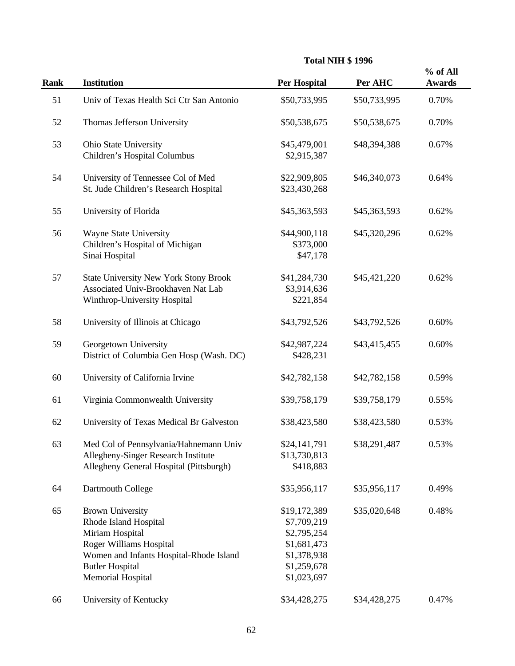|             |                                                                                                                                                                                                        | <b>Total NIH \$1996</b>                                                                                |              |                           |
|-------------|--------------------------------------------------------------------------------------------------------------------------------------------------------------------------------------------------------|--------------------------------------------------------------------------------------------------------|--------------|---------------------------|
| <b>Rank</b> | <b>Institution</b>                                                                                                                                                                                     | <b>Per Hospital</b>                                                                                    | Per AHC      | % of All<br><b>Awards</b> |
| 51          | Univ of Texas Health Sci Ctr San Antonio                                                                                                                                                               | \$50,733,995                                                                                           | \$50,733,995 | 0.70%                     |
| 52          | Thomas Jefferson University                                                                                                                                                                            | \$50,538,675                                                                                           | \$50,538,675 | 0.70%                     |
| 53          | Ohio State University<br>Children's Hospital Columbus                                                                                                                                                  | \$45,479,001<br>\$2,915,387                                                                            | \$48,394,388 | 0.67%                     |
| 54          | University of Tennessee Col of Med<br>St. Jude Children's Research Hospital                                                                                                                            | \$22,909,805<br>\$23,430,268                                                                           | \$46,340,073 | 0.64%                     |
| 55          | University of Florida                                                                                                                                                                                  | \$45,363,593                                                                                           | \$45,363,593 | 0.62%                     |
| 56          | <b>Wayne State University</b><br>Children's Hospital of Michigan<br>Sinai Hospital                                                                                                                     | \$44,900,118<br>\$373,000<br>\$47,178                                                                  | \$45,320,296 | 0.62%                     |
| 57          | <b>State University New York Stony Brook</b><br>Associated Univ-Brookhaven Nat Lab<br>Winthrop-University Hospital                                                                                     | \$41,284,730<br>\$3,914,636<br>\$221,854                                                               | \$45,421,220 | 0.62%                     |
| 58          | University of Illinois at Chicago                                                                                                                                                                      | \$43,792,526                                                                                           | \$43,792,526 | 0.60%                     |
| 59          | Georgetown University<br>District of Columbia Gen Hosp (Wash. DC)                                                                                                                                      | \$42,987,224<br>\$428,231                                                                              | \$43,415,455 | 0.60%                     |
| 60          | University of California Irvine                                                                                                                                                                        | \$42,782,158                                                                                           | \$42,782,158 | 0.59%                     |
| 61          | Virginia Commonwealth University                                                                                                                                                                       | \$39,758,179                                                                                           | \$39,758,179 | 0.55%                     |
| 62          | University of Texas Medical Br Galveston                                                                                                                                                               | \$38,423,580                                                                                           | \$38,423,580 | 0.53%                     |
| 63          | Med Col of Pennsylvania/Hahnemann Univ<br>Allegheny-Singer Research Institute<br>Allegheny General Hospital (Pittsburgh)                                                                               | \$24,141,791<br>\$13,730,813<br>\$418,883                                                              | \$38,291,487 | 0.53%                     |
| 64          | Dartmouth College                                                                                                                                                                                      | \$35,956,117                                                                                           | \$35,956,117 | 0.49%                     |
| 65          | <b>Brown University</b><br>Rhode Island Hospital<br>Miriam Hospital<br><b>Roger Williams Hospital</b><br>Women and Infants Hospital-Rhode Island<br><b>Butler Hospital</b><br><b>Memorial Hospital</b> | \$19,172,389<br>\$7,709,219<br>\$2,795,254<br>\$1,681,473<br>\$1,378,938<br>\$1,259,678<br>\$1,023,697 | \$35,020,648 | 0.48%                     |
| 66          | University of Kentucky                                                                                                                                                                                 | \$34,428,275                                                                                           | \$34,428,275 | 0.47%                     |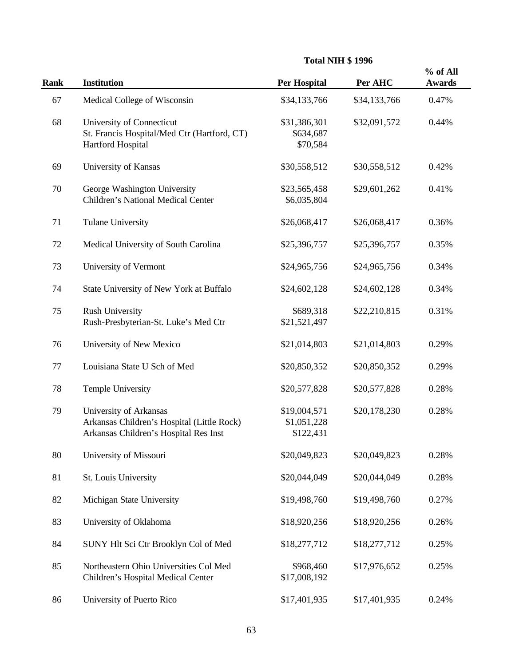|             |                                                                                                               | <b>Total NIH \$1996</b>                  |              |                           |
|-------------|---------------------------------------------------------------------------------------------------------------|------------------------------------------|--------------|---------------------------|
| <b>Rank</b> | <b>Institution</b>                                                                                            | <b>Per Hospital</b>                      | Per AHC      | % of All<br><b>Awards</b> |
| 67          | Medical College of Wisconsin                                                                                  | \$34,133,766                             | \$34,133,766 | 0.47%                     |
| 68          | University of Connecticut<br>St. Francis Hospital/Med Ctr (Hartford, CT)<br>Hartford Hospital                 | \$31,386,301<br>\$634,687<br>\$70,584    | \$32,091,572 | 0.44%                     |
| 69          | University of Kansas                                                                                          | \$30,558,512                             | \$30,558,512 | 0.42%                     |
| 70          | George Washington University<br>Children's National Medical Center                                            | \$23,565,458<br>\$6,035,804              | \$29,601,262 | 0.41%                     |
| 71          | <b>Tulane University</b>                                                                                      | \$26,068,417                             | \$26,068,417 | 0.36%                     |
| 72          | Medical University of South Carolina                                                                          | \$25,396,757                             | \$25,396,757 | 0.35%                     |
| 73          | University of Vermont                                                                                         | \$24,965,756                             | \$24,965,756 | 0.34%                     |
| 74          | State University of New York at Buffalo                                                                       | \$24,602,128                             | \$24,602,128 | 0.34%                     |
| 75          | <b>Rush University</b><br>Rush-Presbyterian-St. Luke's Med Ctr                                                | \$689,318<br>\$21,521,497                | \$22,210,815 | 0.31%                     |
| 76          | University of New Mexico                                                                                      | \$21,014,803                             | \$21,014,803 | 0.29%                     |
| 77          | Louisiana State U Sch of Med                                                                                  | \$20,850,352                             | \$20,850,352 | 0.29%                     |
| 78          | <b>Temple University</b>                                                                                      | \$20,577,828                             | \$20,577,828 | 0.28%                     |
| 79          | University of Arkansas<br>Arkansas Children's Hospital (Little Rock)<br>Arkansas Children's Hospital Res Inst | \$19,004,571<br>\$1,051,228<br>\$122,431 | \$20,178,230 | 0.28%                     |
| 80          | University of Missouri                                                                                        | \$20,049,823                             | \$20,049,823 | 0.28%                     |
| 81          | St. Louis University                                                                                          | \$20,044,049                             | \$20,044,049 | 0.28%                     |
| 82          | Michigan State University                                                                                     | \$19,498,760                             | \$19,498,760 | 0.27%                     |
| 83          | University of Oklahoma                                                                                        | \$18,920,256                             | \$18,920,256 | 0.26%                     |
| 84          | SUNY Hlt Sci Ctr Brooklyn Col of Med                                                                          | \$18,277,712                             | \$18,277,712 | 0.25%                     |
| 85          | Northeastern Ohio Universities Col Med<br>Children's Hospital Medical Center                                  | \$968,460<br>\$17,008,192                | \$17,976,652 | 0.25%                     |
| 86          | University of Puerto Rico                                                                                     | \$17,401,935                             | \$17,401,935 | 0.24%                     |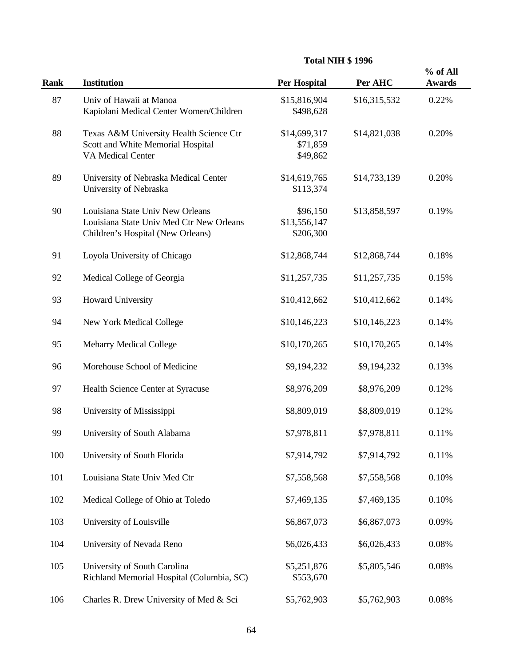| <b>Total NIH \$1996</b> |  |  |  |
|-------------------------|--|--|--|
|-------------------------|--|--|--|

| <b>Rank</b> | Institution                                                                                                       | <b>Per Hospital</b>                   | Per AHC      | % of All<br><b>Awards</b> |
|-------------|-------------------------------------------------------------------------------------------------------------------|---------------------------------------|--------------|---------------------------|
| 87          | Univ of Hawaii at Manoa<br>Kapiolani Medical Center Women/Children                                                | \$15,816,904<br>\$498,628             | \$16,315,532 | 0.22%                     |
| 88          | Texas A&M University Health Science Ctr<br>Scott and White Memorial Hospital<br><b>VA Medical Center</b>          | \$14,699,317<br>\$71,859<br>\$49,862  | \$14,821,038 | 0.20%                     |
| 89          | University of Nebraska Medical Center<br>University of Nebraska                                                   | \$14,619,765<br>\$113,374             | \$14,733,139 | 0.20%                     |
| 90          | Louisiana State Univ New Orleans<br>Louisiana State Univ Med Ctr New Orleans<br>Children's Hospital (New Orleans) | \$96,150<br>\$13,556,147<br>\$206,300 | \$13,858,597 | 0.19%                     |
| 91          | Loyola University of Chicago                                                                                      | \$12,868,744                          | \$12,868,744 | 0.18%                     |
| 92          | Medical College of Georgia                                                                                        | \$11,257,735                          | \$11,257,735 | 0.15%                     |
| 93          | <b>Howard University</b>                                                                                          | \$10,412,662                          | \$10,412,662 | 0.14%                     |
| 94          | New York Medical College                                                                                          | \$10,146,223                          | \$10,146,223 | 0.14%                     |
| 95          | <b>Meharry Medical College</b>                                                                                    | \$10,170,265                          | \$10,170,265 | 0.14%                     |
| 96          | Morehouse School of Medicine                                                                                      | \$9,194,232                           | \$9,194,232  | 0.13%                     |
| 97          | Health Science Center at Syracuse                                                                                 | \$8,976,209                           | \$8,976,209  | 0.12%                     |
| 98          | University of Mississippi                                                                                         | \$8,809,019                           | \$8,809,019  | 0.12%                     |
| 99          | University of South Alabama                                                                                       | \$7,978,811                           | \$7,978,811  | 0.11%                     |
| 100         | University of South Florida                                                                                       | \$7,914,792                           | \$7,914,792  | 0.11%                     |
| 101         | Louisiana State Univ Med Ctr                                                                                      | \$7,558,568                           | \$7,558,568  | 0.10%                     |
| 102         | Medical College of Ohio at Toledo                                                                                 | \$7,469,135                           | \$7,469,135  | 0.10%                     |
| 103         | University of Louisville                                                                                          | \$6,867,073                           | \$6,867,073  | 0.09%                     |
| 104         | University of Nevada Reno                                                                                         | \$6,026,433                           | \$6,026,433  | 0.08%                     |
| 105         | University of South Carolina<br>Richland Memorial Hospital (Columbia, SC)                                         | \$5,251,876<br>\$553,670              | \$5,805,546  | 0.08%                     |
| 106         | Charles R. Drew University of Med & Sci                                                                           | \$5,762,903                           | \$5,762,903  | 0.08%                     |